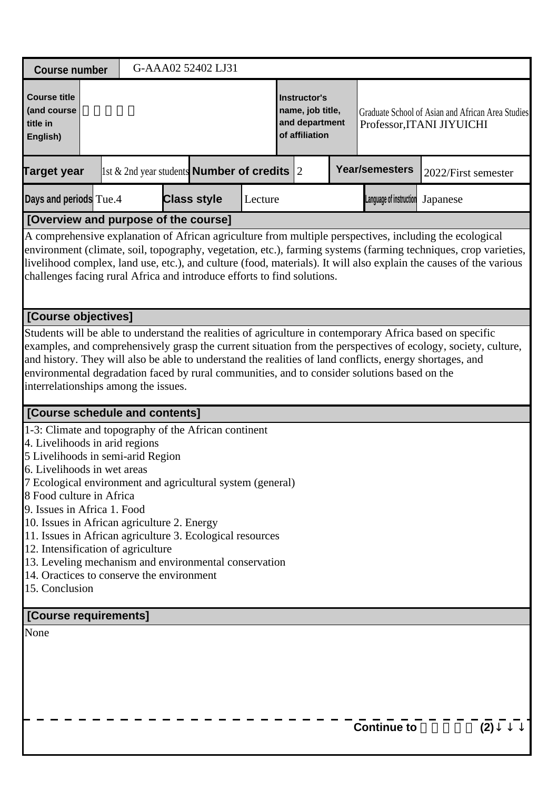| <b>Course number</b>                                                                                                                                                                                                                                                                                                                                                                                                                                                                                                           |  | G-AAA02 52402 LJ31                                    |         |                                                                      |                         |                                                                                                                                                                                                                                                                                                                                                  |
|--------------------------------------------------------------------------------------------------------------------------------------------------------------------------------------------------------------------------------------------------------------------------------------------------------------------------------------------------------------------------------------------------------------------------------------------------------------------------------------------------------------------------------|--|-------------------------------------------------------|---------|----------------------------------------------------------------------|-------------------------|--------------------------------------------------------------------------------------------------------------------------------------------------------------------------------------------------------------------------------------------------------------------------------------------------------------------------------------------------|
| <b>Course title</b><br>(and course<br>title in<br>English)                                                                                                                                                                                                                                                                                                                                                                                                                                                                     |  |                                                       |         | Instructor's<br>name, job title,<br>and department<br>of affiliation |                         | Graduate School of Asian and African Area Studies<br>Professor, ITANI JIYUICHI                                                                                                                                                                                                                                                                   |
| <b>Target year</b>                                                                                                                                                                                                                                                                                                                                                                                                                                                                                                             |  | 1st $\&$ 2nd year students <b>Number of credits</b> 2 |         |                                                                      | <b>Year/semesters</b>   | 2022/First semester                                                                                                                                                                                                                                                                                                                              |
| Days and periods Tue.4                                                                                                                                                                                                                                                                                                                                                                                                                                                                                                         |  | <b>Class style</b>                                    | Lecture |                                                                      | Language of instruction | Japanese                                                                                                                                                                                                                                                                                                                                         |
| [Overview and purpose of the course]                                                                                                                                                                                                                                                                                                                                                                                                                                                                                           |  |                                                       |         |                                                                      |                         |                                                                                                                                                                                                                                                                                                                                                  |
| challenges facing rural Africa and introduce efforts to find solutions.                                                                                                                                                                                                                                                                                                                                                                                                                                                        |  |                                                       |         |                                                                      |                         | A comprehensive explanation of African agriculture from multiple perspectives, including the ecological<br>environment (climate, soil, topography, vegetation, etc.), farming systems (farming techniques, crop varieties,<br>livelihood complex, land use, etc.), and culture (food, materials). It will also explain the causes of the various |
| [Course objectives]                                                                                                                                                                                                                                                                                                                                                                                                                                                                                                            |  |                                                       |         |                                                                      |                         |                                                                                                                                                                                                                                                                                                                                                  |
| Students will be able to understand the realities of agriculture in contemporary Africa based on specific<br>and history. They will also be able to understand the realities of land conflicts, energy shortages, and<br>environmental degradation faced by rural communities, and to consider solutions based on the<br>interrelationships among the issues.<br>[Course schedule and contents]<br>1-3: Climate and topography of the African continent<br>4. Livelihoods in arid regions<br>5 Livelihoods in semi-arid Region |  |                                                       |         |                                                                      |                         | examples, and comprehensively grasp the current situation from the perspectives of ecology, society, culture,                                                                                                                                                                                                                                    |
| 6. Livelihoods in wet areas<br>7 Ecological environment and agricultural system (general)<br>8 Food culture in Africa                                                                                                                                                                                                                                                                                                                                                                                                          |  |                                                       |         |                                                                      |                         |                                                                                                                                                                                                                                                                                                                                                  |
| 9. Issues in Africa 1. Food<br>10. Issues in African agriculture 2. Energy<br>11. Issues in African agriculture 3. Ecological resources<br>12. Intensification of agriculture<br>13. Leveling mechanism and environmental conservation<br>14. Oractices to conserve the environment<br>15. Conclusion                                                                                                                                                                                                                          |  |                                                       |         |                                                                      |                         |                                                                                                                                                                                                                                                                                                                                                  |
| [Course requirements]                                                                                                                                                                                                                                                                                                                                                                                                                                                                                                          |  |                                                       |         |                                                                      |                         |                                                                                                                                                                                                                                                                                                                                                  |
| None                                                                                                                                                                                                                                                                                                                                                                                                                                                                                                                           |  |                                                       |         |                                                                      | <b>Continue to</b>      | (2)                                                                                                                                                                                                                                                                                                                                              |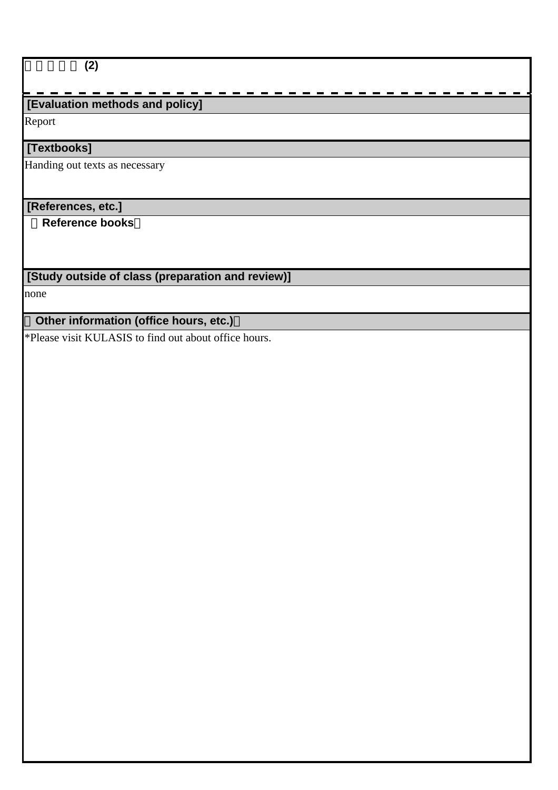## $\overline{(2)}$

# **[Evaluation methods and policy]**

Report

## **[Textbooks]**

Handing out texts as necessary

## **[References, etc.]**

 **Reference books**

# **[Study outside of class (preparation and review)]**

none

# **Other information (office hours, etc.)**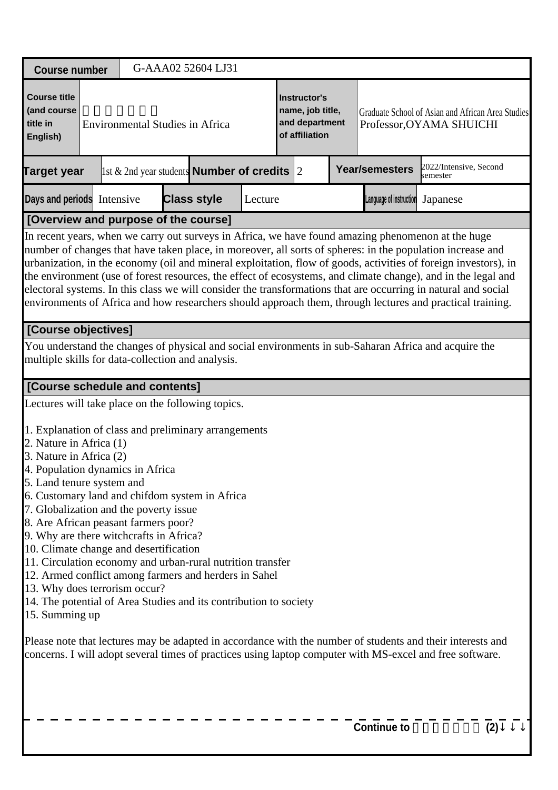| <b>Course number</b>                                                                                                                                                                                                                                                                                                                                                                                                                                                                                                                                                                                                                                                                                                                                                                                                                                                                                                               |  | G-AAA02 52604 LJ31                                    |         |                                                                      |                                                                               |                                    |     |
|------------------------------------------------------------------------------------------------------------------------------------------------------------------------------------------------------------------------------------------------------------------------------------------------------------------------------------------------------------------------------------------------------------------------------------------------------------------------------------------------------------------------------------------------------------------------------------------------------------------------------------------------------------------------------------------------------------------------------------------------------------------------------------------------------------------------------------------------------------------------------------------------------------------------------------|--|-------------------------------------------------------|---------|----------------------------------------------------------------------|-------------------------------------------------------------------------------|------------------------------------|-----|
| <b>Course title</b><br>(and course<br>title in<br>English)                                                                                                                                                                                                                                                                                                                                                                                                                                                                                                                                                                                                                                                                                                                                                                                                                                                                         |  | <b>Environmental Studies in Africa</b>                |         | Instructor's<br>name, job title,<br>and department<br>of affiliation | Graduate School of Asian and African Area Studies<br>Professor, OYAMA SHUICHI |                                    |     |
| <b>Target year</b>                                                                                                                                                                                                                                                                                                                                                                                                                                                                                                                                                                                                                                                                                                                                                                                                                                                                                                                 |  | 1st $\&$ 2nd year students <b>Number of credits</b> 2 |         |                                                                      | <b>Year/semesters</b>                                                         | 2022/Intensive, Second<br>semester |     |
| Days and periods Intensive                                                                                                                                                                                                                                                                                                                                                                                                                                                                                                                                                                                                                                                                                                                                                                                                                                                                                                         |  | <b>Class style</b>                                    | Lecture |                                                                      | Language of instruction                                                       | Japanese                           |     |
| [Overview and purpose of the course]                                                                                                                                                                                                                                                                                                                                                                                                                                                                                                                                                                                                                                                                                                                                                                                                                                                                                               |  |                                                       |         |                                                                      |                                                                               |                                    |     |
| In recent years, when we carry out surveys in Africa, we have found amazing phenomenon at the huge<br>number of changes that have taken place, in moreover, all sorts of spheres: in the population increase and<br>urbanization, in the economy (oil and mineral exploitation, flow of goods, activities of foreign investors), in<br>the environment (use of forest resources, the effect of ecosystems, and climate change), and in the legal and<br>electoral systems. In this class we will consider the transformations that are occurring in natural and social<br>environments of Africa and how researchers should approach them, through lectures and practical training.                                                                                                                                                                                                                                                |  |                                                       |         |                                                                      |                                                                               |                                    |     |
| [Course objectives]                                                                                                                                                                                                                                                                                                                                                                                                                                                                                                                                                                                                                                                                                                                                                                                                                                                                                                                |  |                                                       |         |                                                                      |                                                                               |                                    |     |
| You understand the changes of physical and social environments in sub-Saharan Africa and acquire the<br>multiple skills for data-collection and analysis.                                                                                                                                                                                                                                                                                                                                                                                                                                                                                                                                                                                                                                                                                                                                                                          |  |                                                       |         |                                                                      |                                                                               |                                    |     |
| [Course schedule and contents]                                                                                                                                                                                                                                                                                                                                                                                                                                                                                                                                                                                                                                                                                                                                                                                                                                                                                                     |  |                                                       |         |                                                                      |                                                                               |                                    |     |
| Lectures will take place on the following topics.<br>1. Explanation of class and preliminary arrangements<br>2. Nature in Africa (1)<br>3. Nature in Africa (2)<br>4. Population dynamics in Africa<br>5. Land tenure system and<br>6. Customary land and chifdom system in Africa<br>7. Globalization and the poverty issue<br>8. Are African peasant farmers poor?<br>9. Why are there witchcrafts in Africa?<br>10. Climate change and desertification<br>11. Circulation economy and urban-rural nutrition transfer<br>12. Armed conflict among farmers and herders in Sahel<br>13. Why does terrorism occur?<br>14. The potential of Area Studies and its contribution to society<br>15. Summing up<br>Please note that lectures may be adapted in accordance with the number of students and their interests and<br>concerns. I will adopt several times of practices using laptop computer with MS-excel and free software. |  |                                                       |         |                                                                      |                                                                               |                                    |     |
|                                                                                                                                                                                                                                                                                                                                                                                                                                                                                                                                                                                                                                                                                                                                                                                                                                                                                                                                    |  |                                                       |         |                                                                      | <b>Continue to</b>                                                            |                                    | (2) |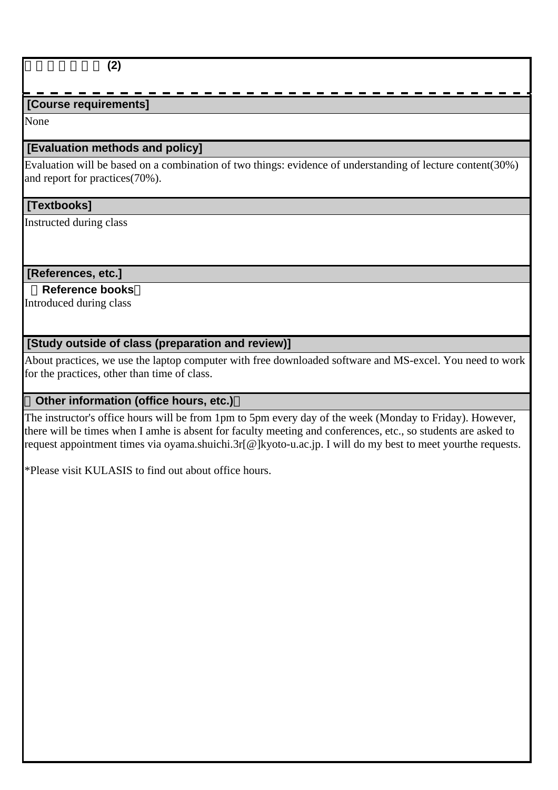## アフリカ環境学 **(2)**

## **[Course requirements]**

None

## **[Evaluation methods and policy]**

Evaluation will be based on a combination of two things: evidence of understanding of lecture content(30%) and report for practices(70%).

#### **[Textbooks]**

Instructed during class

## **[References, etc.]**

## **Reference books**

Introduced during class

## **[Study outside of class (preparation and review)]**

About practices, we use the laptop computer with free downloaded software and MS-excel. You need to work for the practices, other than time of class.

## **Other information (office hours, etc.)**

The instructor's office hours will be from 1pm to 5pm every day of the week (Monday to Friday). However, there will be times when I amhe is absent for faculty meeting and conferences, etc., so students are asked to request appointment times via oyama.shuichi.3r[@]kyoto-u.ac.jp. I will do my best to meet yourthe requests.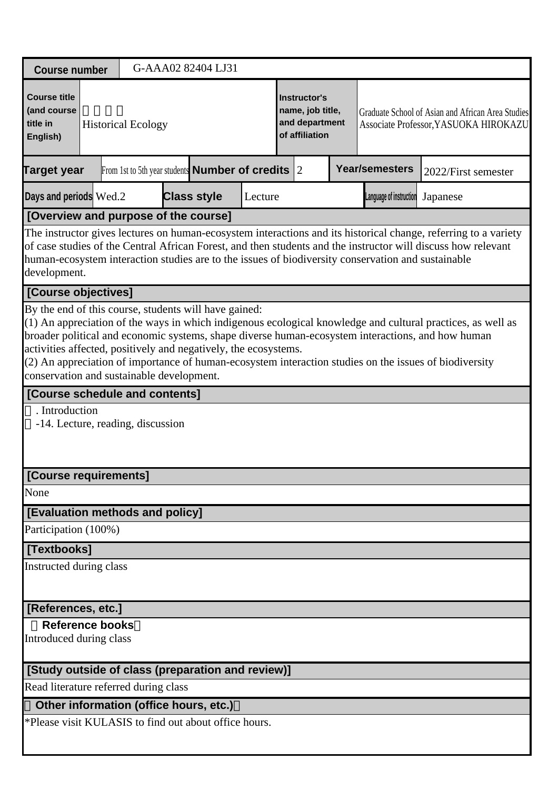| <b>Course number</b>                                                                                                                                                  |  |                           | G-AAA02 82404 LJ31                                     |         |                                                                             |                                                                                                    |                                                                                                                                                                                                                                                                                                                            |
|-----------------------------------------------------------------------------------------------------------------------------------------------------------------------|--|---------------------------|--------------------------------------------------------|---------|-----------------------------------------------------------------------------|----------------------------------------------------------------------------------------------------|----------------------------------------------------------------------------------------------------------------------------------------------------------------------------------------------------------------------------------------------------------------------------------------------------------------------------|
| <b>Course title</b><br>(and course<br>title in<br>English)                                                                                                            |  | <b>Historical Ecology</b> |                                                        |         | <b>Instructor's</b><br>name, job title,<br>and department<br>of affiliation |                                                                                                    | Graduate School of Asian and African Area Studies<br>Associate Professor, YASUOKA HIROKAZU                                                                                                                                                                                                                                 |
| <b>Target year</b>                                                                                                                                                    |  |                           | From 1st to 5th year students <b>Number of credits</b> |         | 2                                                                           | <b>Year/semesters</b>                                                                              | 2022/First semester                                                                                                                                                                                                                                                                                                        |
| Days and periods Wed.2                                                                                                                                                |  |                           | <b>Class style</b>                                     | Lecture |                                                                             | Language of instruction                                                                            | Japanese                                                                                                                                                                                                                                                                                                                   |
| [Overview and purpose of the course]                                                                                                                                  |  |                           |                                                        |         |                                                                             | human-ecosystem interaction studies are to the issues of biodiversity conservation and sustainable | The instructor gives lectures on human-ecosystem interactions and its historical change, referring to a variety<br>of case studies of the Central African Forest, and then students and the instructor will discuss how relevant                                                                                           |
| development.<br>[Course objectives]                                                                                                                                   |  |                           |                                                        |         |                                                                             |                                                                                                    |                                                                                                                                                                                                                                                                                                                            |
| By the end of this course, students will have gained:<br>activities affected, positively and negatively, the ecosystems.<br>conservation and sustainable development. |  |                           |                                                        |         |                                                                             |                                                                                                    | (1) An appreciation of the ways in which indigenous ecological knowledge and cultural practices, as well as<br>broader political and economic systems, shape diverse human-ecosystem interactions, and how human<br>(2) An appreciation of importance of human-ecosystem interaction studies on the issues of biodiversity |
| [Course schedule and contents]                                                                                                                                        |  |                           |                                                        |         |                                                                             |                                                                                                    |                                                                                                                                                                                                                                                                                                                            |
| . Introduction<br>-14. Lecture, reading, discussion                                                                                                                   |  |                           |                                                        |         |                                                                             |                                                                                                    |                                                                                                                                                                                                                                                                                                                            |
| [Course requirements]                                                                                                                                                 |  |                           |                                                        |         |                                                                             |                                                                                                    |                                                                                                                                                                                                                                                                                                                            |
| None                                                                                                                                                                  |  |                           |                                                        |         |                                                                             |                                                                                                    |                                                                                                                                                                                                                                                                                                                            |
| [Evaluation methods and policy]                                                                                                                                       |  |                           |                                                        |         |                                                                             |                                                                                                    |                                                                                                                                                                                                                                                                                                                            |
| Participation (100%)                                                                                                                                                  |  |                           |                                                        |         |                                                                             |                                                                                                    |                                                                                                                                                                                                                                                                                                                            |
| [Textbooks]<br>Instructed during class                                                                                                                                |  |                           |                                                        |         |                                                                             |                                                                                                    |                                                                                                                                                                                                                                                                                                                            |
| [References, etc.]                                                                                                                                                    |  |                           |                                                        |         |                                                                             |                                                                                                    |                                                                                                                                                                                                                                                                                                                            |
| <b>Reference books</b><br>Introduced during class                                                                                                                     |  |                           |                                                        |         |                                                                             |                                                                                                    |                                                                                                                                                                                                                                                                                                                            |
| [Study outside of class (preparation and review)]                                                                                                                     |  |                           |                                                        |         |                                                                             |                                                                                                    |                                                                                                                                                                                                                                                                                                                            |
| Read literature referred during class                                                                                                                                 |  |                           |                                                        |         |                                                                             |                                                                                                    |                                                                                                                                                                                                                                                                                                                            |
| Other information (office hours, etc.)                                                                                                                                |  |                           |                                                        |         |                                                                             |                                                                                                    |                                                                                                                                                                                                                                                                                                                            |
| *Please visit KULASIS to find out about office hours.                                                                                                                 |  |                           |                                                        |         |                                                                             |                                                                                                    |                                                                                                                                                                                                                                                                                                                            |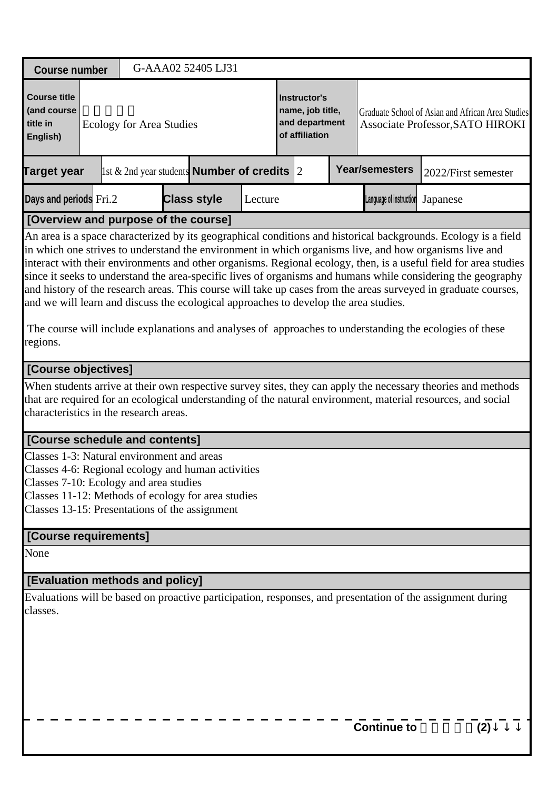| <b>Course number</b>                                                                                                                                                                                                                               |                                                                                          |  |  |  | G-AAA02 52405 LJ31 |         |                                                                      |  |  |                                                                                       |                                                                                                                                                                                                                                                                                                                                                                                                                                                                                                                                                                                                                                                                                           |  |
|----------------------------------------------------------------------------------------------------------------------------------------------------------------------------------------------------------------------------------------------------|------------------------------------------------------------------------------------------|--|--|--|--------------------|---------|----------------------------------------------------------------------|--|--|---------------------------------------------------------------------------------------|-------------------------------------------------------------------------------------------------------------------------------------------------------------------------------------------------------------------------------------------------------------------------------------------------------------------------------------------------------------------------------------------------------------------------------------------------------------------------------------------------------------------------------------------------------------------------------------------------------------------------------------------------------------------------------------------|--|
| <b>Course title</b><br>(and course<br>title in<br>English)                                                                                                                                                                                         | <b>Ecology for Area Studies</b><br>1st $\&$ 2nd year students <b>Number of credits</b> 2 |  |  |  |                    |         | Instructor's<br>name, job title,<br>and department<br>of affiliation |  |  | Graduate School of Asian and African Area Studies<br>Associate Professor, SATO HIROKI |                                                                                                                                                                                                                                                                                                                                                                                                                                                                                                                                                                                                                                                                                           |  |
| <b>Target year</b>                                                                                                                                                                                                                                 |                                                                                          |  |  |  |                    |         |                                                                      |  |  | <b>Year/semesters</b>                                                                 | 2022/First semester                                                                                                                                                                                                                                                                                                                                                                                                                                                                                                                                                                                                                                                                       |  |
| Days and periods Fri.2                                                                                                                                                                                                                             |                                                                                          |  |  |  | <b>Class style</b> | Lecture |                                                                      |  |  | Language of instruction                                                               | Japanese                                                                                                                                                                                                                                                                                                                                                                                                                                                                                                                                                                                                                                                                                  |  |
| [Overview and purpose of the course]                                                                                                                                                                                                               |                                                                                          |  |  |  |                    |         |                                                                      |  |  |                                                                                       |                                                                                                                                                                                                                                                                                                                                                                                                                                                                                                                                                                                                                                                                                           |  |
| and we will learn and discuss the ecological approaches to develop the area studies.<br>regions.                                                                                                                                                   |                                                                                          |  |  |  |                    |         |                                                                      |  |  |                                                                                       | An area is a space characterized by its geographical conditions and historical backgrounds. Ecology is a field<br>in which one strives to understand the environment in which organisms live, and how organisms live and<br>interact with their environments and other organisms. Regional ecology, then, is a useful field for area studies<br>since it seeks to understand the area-specific lives of organisms and humans while considering the geography<br>and history of the research areas. This course will take up cases from the areas surveyed in graduate courses,<br>The course will include explanations and analyses of approaches to understanding the ecologies of these |  |
| [Course objectives]                                                                                                                                                                                                                                |                                                                                          |  |  |  |                    |         |                                                                      |  |  |                                                                                       |                                                                                                                                                                                                                                                                                                                                                                                                                                                                                                                                                                                                                                                                                           |  |
| characteristics in the research areas.                                                                                                                                                                                                             |                                                                                          |  |  |  |                    |         |                                                                      |  |  |                                                                                       | When students arrive at their own respective survey sites, they can apply the necessary theories and methods<br>that are required for an ecological understanding of the natural environment, material resources, and social                                                                                                                                                                                                                                                                                                                                                                                                                                                              |  |
| [Course schedule and contents]                                                                                                                                                                                                                     |                                                                                          |  |  |  |                    |         |                                                                      |  |  |                                                                                       |                                                                                                                                                                                                                                                                                                                                                                                                                                                                                                                                                                                                                                                                                           |  |
| Classes 1-3: Natural environment and areas<br>Classes 4-6: Regional ecology and human activities<br>Classes 7-10: Ecology and area studies<br>Classes 11-12: Methods of ecology for area studies<br>Classes 13-15: Presentations of the assignment |                                                                                          |  |  |  |                    |         |                                                                      |  |  |                                                                                       |                                                                                                                                                                                                                                                                                                                                                                                                                                                                                                                                                                                                                                                                                           |  |
| [Course requirements]                                                                                                                                                                                                                              |                                                                                          |  |  |  |                    |         |                                                                      |  |  |                                                                                       |                                                                                                                                                                                                                                                                                                                                                                                                                                                                                                                                                                                                                                                                                           |  |
| None                                                                                                                                                                                                                                               |                                                                                          |  |  |  |                    |         |                                                                      |  |  |                                                                                       |                                                                                                                                                                                                                                                                                                                                                                                                                                                                                                                                                                                                                                                                                           |  |
| [Evaluation methods and policy]                                                                                                                                                                                                                    |                                                                                          |  |  |  |                    |         |                                                                      |  |  |                                                                                       |                                                                                                                                                                                                                                                                                                                                                                                                                                                                                                                                                                                                                                                                                           |  |
| classes.                                                                                                                                                                                                                                           |                                                                                          |  |  |  |                    |         |                                                                      |  |  |                                                                                       | Evaluations will be based on proactive participation, responses, and presentation of the assignment during                                                                                                                                                                                                                                                                                                                                                                                                                                                                                                                                                                                |  |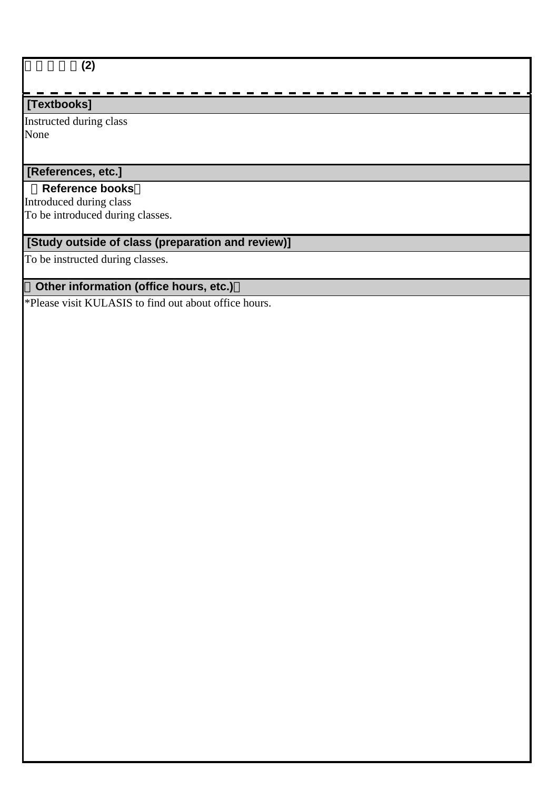# 地域生態論**(2)**

## **[Textbooks]**

Instructed during class None

# **[References, etc.]**

#### **Reference books**

Introduced during class To be introduced during classes.

## **[Study outside of class (preparation and review)]**

To be instructed during classes.

## **Other information (office hours, etc.)**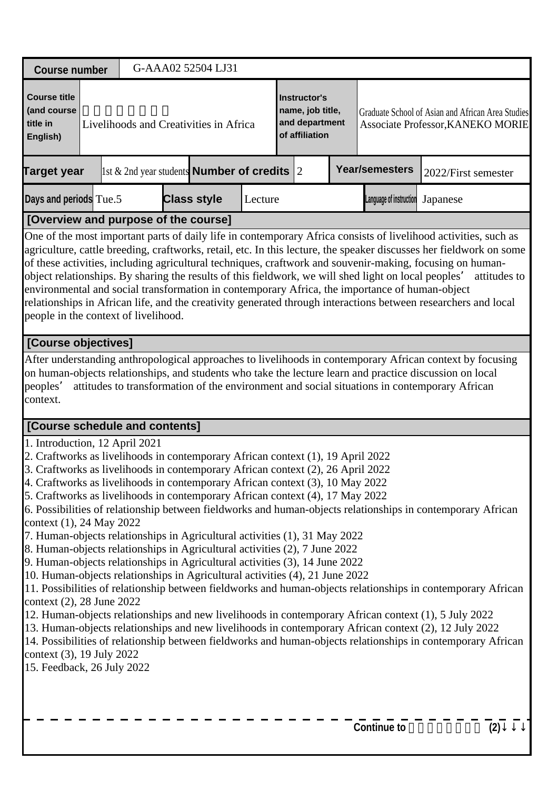| <b>Course number</b>                                                                                                                                                                                                                           |                                                                                                                                                                                                                                                                                                                                                                                                                                                                                                                                                                                                                                                                                                                                                                                                                                                                                                                                                                                                                                                                                                                                                                                                                                                                                                                                                                                                                               |  |  | G-AAA02 52504 LJ31                                 |         |  |                                                                      |  |                         |                                                                                                                                                                                                                                                                                                                                                                                                                                                                                       |  |
|------------------------------------------------------------------------------------------------------------------------------------------------------------------------------------------------------------------------------------------------|-------------------------------------------------------------------------------------------------------------------------------------------------------------------------------------------------------------------------------------------------------------------------------------------------------------------------------------------------------------------------------------------------------------------------------------------------------------------------------------------------------------------------------------------------------------------------------------------------------------------------------------------------------------------------------------------------------------------------------------------------------------------------------------------------------------------------------------------------------------------------------------------------------------------------------------------------------------------------------------------------------------------------------------------------------------------------------------------------------------------------------------------------------------------------------------------------------------------------------------------------------------------------------------------------------------------------------------------------------------------------------------------------------------------------------|--|--|----------------------------------------------------|---------|--|----------------------------------------------------------------------|--|-------------------------|---------------------------------------------------------------------------------------------------------------------------------------------------------------------------------------------------------------------------------------------------------------------------------------------------------------------------------------------------------------------------------------------------------------------------------------------------------------------------------------|--|
| <b>Course title</b><br>(and course<br>title in<br>English)                                                                                                                                                                                     |                                                                                                                                                                                                                                                                                                                                                                                                                                                                                                                                                                                                                                                                                                                                                                                                                                                                                                                                                                                                                                                                                                                                                                                                                                                                                                                                                                                                                               |  |  | Livelihoods and Creativities in Africa             |         |  | Instructor's<br>name, job title,<br>and department<br>of affiliation |  |                         | Graduate School of Asian and African Area Studies<br>Associate Professor, KANEKO MORIE                                                                                                                                                                                                                                                                                                                                                                                                |  |
| <b>Target year</b>                                                                                                                                                                                                                             |                                                                                                                                                                                                                                                                                                                                                                                                                                                                                                                                                                                                                                                                                                                                                                                                                                                                                                                                                                                                                                                                                                                                                                                                                                                                                                                                                                                                                               |  |  | 1st & 2nd year students <b>Number of credits</b> 2 |         |  |                                                                      |  | <b>Year/semesters</b>   | 2022/First semester                                                                                                                                                                                                                                                                                                                                                                                                                                                                   |  |
| Days and periods Tue.5                                                                                                                                                                                                                         |                                                                                                                                                                                                                                                                                                                                                                                                                                                                                                                                                                                                                                                                                                                                                                                                                                                                                                                                                                                                                                                                                                                                                                                                                                                                                                                                                                                                                               |  |  | <b>Class style</b>                                 | Lecture |  |                                                                      |  | Language of instruction | Japanese                                                                                                                                                                                                                                                                                                                                                                                                                                                                              |  |
| [Overview and purpose of the course]                                                                                                                                                                                                           |                                                                                                                                                                                                                                                                                                                                                                                                                                                                                                                                                                                                                                                                                                                                                                                                                                                                                                                                                                                                                                                                                                                                                                                                                                                                                                                                                                                                                               |  |  |                                                    |         |  |                                                                      |  |                         |                                                                                                                                                                                                                                                                                                                                                                                                                                                                                       |  |
| object relationships. By sharing the results of this fieldwork, we will shed light on local peoples'<br>environmental and social transformation in contemporary Africa, the importance of human-object<br>people in the context of livelihood. |                                                                                                                                                                                                                                                                                                                                                                                                                                                                                                                                                                                                                                                                                                                                                                                                                                                                                                                                                                                                                                                                                                                                                                                                                                                                                                                                                                                                                               |  |  |                                                    |         |  |                                                                      |  |                         | One of the most important parts of daily life in contemporary Africa consists of livelihood activities, such as<br>agriculture, cattle breeding, craftworks, retail, etc. In this lecture, the speaker discusses her fieldwork on some<br>of these activities, including agricultural techniques, craftwork and souvenir-making, focusing on human-<br>attitudes to<br>relationships in African life, and the creativity generated through interactions between researchers and local |  |
| [Course objectives]                                                                                                                                                                                                                            |                                                                                                                                                                                                                                                                                                                                                                                                                                                                                                                                                                                                                                                                                                                                                                                                                                                                                                                                                                                                                                                                                                                                                                                                                                                                                                                                                                                                                               |  |  |                                                    |         |  |                                                                      |  |                         |                                                                                                                                                                                                                                                                                                                                                                                                                                                                                       |  |
| peoples'<br>context.                                                                                                                                                                                                                           |                                                                                                                                                                                                                                                                                                                                                                                                                                                                                                                                                                                                                                                                                                                                                                                                                                                                                                                                                                                                                                                                                                                                                                                                                                                                                                                                                                                                                               |  |  |                                                    |         |  |                                                                      |  |                         | After understanding anthropological approaches to livelihoods in contemporary African context by focusing<br>on human-objects relationships, and students who take the lecture learn and practice discussion on local<br>attitudes to transformation of the environment and social situations in contemporary African                                                                                                                                                                 |  |
|                                                                                                                                                                                                                                                |                                                                                                                                                                                                                                                                                                                                                                                                                                                                                                                                                                                                                                                                                                                                                                                                                                                                                                                                                                                                                                                                                                                                                                                                                                                                                                                                                                                                                               |  |  |                                                    |         |  |                                                                      |  |                         |                                                                                                                                                                                                                                                                                                                                                                                                                                                                                       |  |
|                                                                                                                                                                                                                                                | [Course schedule and contents]<br>1. Introduction, 12 April 2021<br>2. Craftworks as livelihoods in contemporary African context (1), 19 April 2022<br>3. Craftworks as livelihoods in contemporary African context (2), 26 April 2022<br>4. Craftworks as livelihoods in contemporary African context (3), 10 May 2022<br>5. Craftworks as livelihoods in contemporary African context (4), 17 May 2022<br>6. Possibilities of relationship between fieldworks and human-objects relationships in contemporary African<br>context (1), 24 May 2022<br>7. Human-objects relationships in Agricultural activities (1), 31 May 2022<br>8. Human-objects relationships in Agricultural activities (2), 7 June 2022<br>9. Human-objects relationships in Agricultural activities (3), 14 June 2022<br>10. Human-objects relationships in Agricultural activities (4), 21 June 2022<br>11. Possibilities of relationship between fieldworks and human-objects relationships in contemporary African<br>context $(2)$ , 28 June 2022<br>12. Human-objects relationships and new livelihoods in contemporary African context (1), 5 July 2022<br>13. Human-objects relationships and new livelihoods in contemporary African context (2), 12 July 2022<br>14. Possibilities of relationship between fieldworks and human-objects relationships in contemporary African<br>context $(3)$ , 19 July 2022<br>15. Feedback, 26 July 2022 |  |  |                                                    |         |  |                                                                      |  |                         |                                                                                                                                                                                                                                                                                                                                                                                                                                                                                       |  |
|                                                                                                                                                                                                                                                |                                                                                                                                                                                                                                                                                                                                                                                                                                                                                                                                                                                                                                                                                                                                                                                                                                                                                                                                                                                                                                                                                                                                                                                                                                                                                                                                                                                                                               |  |  |                                                    |         |  |                                                                      |  | <b>Continue to</b>      | (2)                                                                                                                                                                                                                                                                                                                                                                                                                                                                                   |  |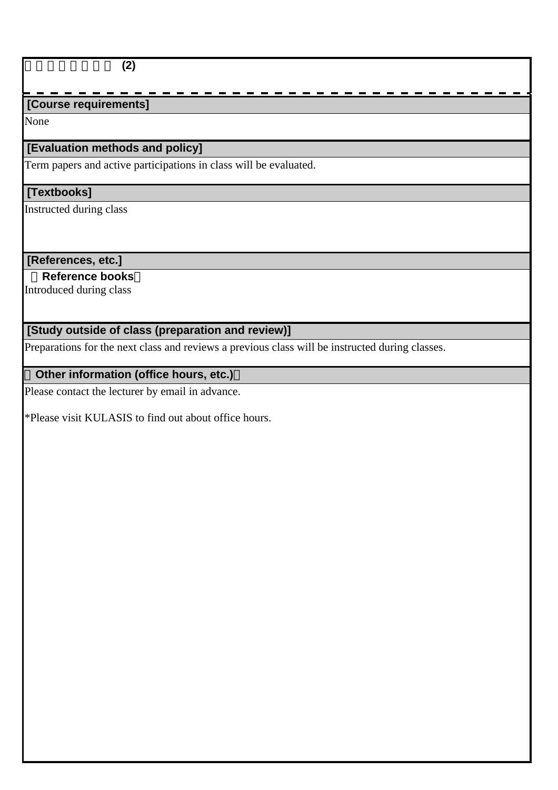### 生業とものつくり **(2)**

## **[Course requirements]**

None

## **[Evaluation methods and policy]**

Term papers and active participations in class will be evaluated.

## **[Textbooks]**

Instructed during class

#### **[References, etc.]**

 **Reference books**

Introduced during class

# **[Study outside of class (preparation and review)]**

Preparations for the next class and reviews a previous class will be instructed during classes.

## **Other information (office hours, etc.)**

Please contact the lecturer by email in advance.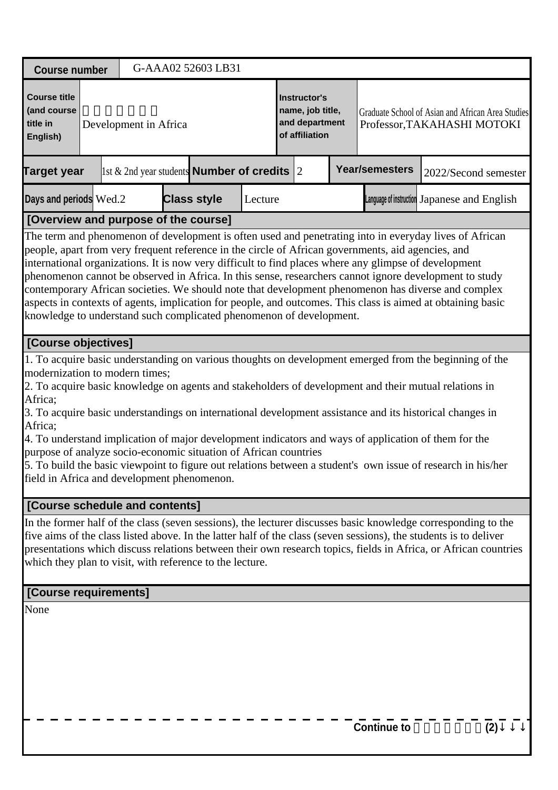| <b>Course number</b>                                                                                                                                                                                                                                                                                      |  |  | G-AAA02 52603 LB31                                                   |         |  |                                                                                  |                       |                                                                                                                                                                                                                                                                                                                                                                                                                                                                                                                                                     |
|-----------------------------------------------------------------------------------------------------------------------------------------------------------------------------------------------------------------------------------------------------------------------------------------------------------|--|--|----------------------------------------------------------------------|---------|--|----------------------------------------------------------------------------------|-----------------------|-----------------------------------------------------------------------------------------------------------------------------------------------------------------------------------------------------------------------------------------------------------------------------------------------------------------------------------------------------------------------------------------------------------------------------------------------------------------------------------------------------------------------------------------------------|
| <b>Course title</b><br>(and course<br>title in<br>Development in Africa<br>English)                                                                                                                                                                                                                       |  |  | Instructor's<br>name, job title,<br>and department<br>of affiliation |         |  | Graduate School of Asian and African Area Studies<br>Professor, TAKAHASHI MOTOKI |                       |                                                                                                                                                                                                                                                                                                                                                                                                                                                                                                                                                     |
| <b>Target year</b>                                                                                                                                                                                                                                                                                        |  |  | 1st & 2nd year students <b>Number of credits</b> $ 2 $               |         |  |                                                                                  | <b>Year/semesters</b> | 2022/Second semester                                                                                                                                                                                                                                                                                                                                                                                                                                                                                                                                |
| Days and periods Wed.2                                                                                                                                                                                                                                                                                    |  |  | <b>Class style</b>                                                   | Lecture |  |                                                                                  |                       | Language of instruction Japanese and English                                                                                                                                                                                                                                                                                                                                                                                                                                                                                                        |
| [Overview and purpose of the course]                                                                                                                                                                                                                                                                      |  |  |                                                                      |         |  |                                                                                  |                       |                                                                                                                                                                                                                                                                                                                                                                                                                                                                                                                                                     |
| people, apart from very frequent reference in the circle of African governments, aid agencies, and<br>international organizations. It is now very difficult to find places where any glimpse of development<br>knowledge to understand such complicated phenomenon of development.<br>[Course objectives] |  |  |                                                                      |         |  |                                                                                  |                       | phenomenon cannot be observed in Africa. In this sense, researchers cannot ignore development to study<br>contemporary African societies. We should note that development phenomenon has diverse and complex<br>aspects in contexts of agents, implication for people, and outcomes. This class is aimed at obtaining basic                                                                                                                                                                                                                         |
|                                                                                                                                                                                                                                                                                                           |  |  |                                                                      |         |  |                                                                                  |                       |                                                                                                                                                                                                                                                                                                                                                                                                                                                                                                                                                     |
| modernization to modern times;<br>Africa;<br>Africa;<br>purpose of analyze socio-economic situation of African countries<br>field in Africa and development phenomenon.                                                                                                                                   |  |  |                                                                      |         |  |                                                                                  |                       | 1. To acquire basic understanding on various thoughts on development emerged from the beginning of the<br>2. To acquire basic knowledge on agents and stakeholders of development and their mutual relations in<br>3. To acquire basic understandings on international development assistance and its historical changes in<br>4. To understand implication of major development indicators and ways of application of them for the<br>5. To build the basic viewpoint to figure out relations between a student's own issue of research in his/her |
| [Course schedule and contents]                                                                                                                                                                                                                                                                            |  |  |                                                                      |         |  |                                                                                  |                       |                                                                                                                                                                                                                                                                                                                                                                                                                                                                                                                                                     |
| which they plan to visit, with reference to the lecture.                                                                                                                                                                                                                                                  |  |  |                                                                      |         |  |                                                                                  |                       | In the former half of the class (seven sessions), the lecturer discusses basic knowledge corresponding to the<br>five aims of the class listed above. In the latter half of the class (seven sessions), the students is to deliver<br>presentations which discuss relations between their own research topics, fields in Africa, or African countries                                                                                                                                                                                               |
| [Course requirements]                                                                                                                                                                                                                                                                                     |  |  |                                                                      |         |  |                                                                                  |                       |                                                                                                                                                                                                                                                                                                                                                                                                                                                                                                                                                     |
| None                                                                                                                                                                                                                                                                                                      |  |  |                                                                      |         |  |                                                                                  |                       |                                                                                                                                                                                                                                                                                                                                                                                                                                                                                                                                                     |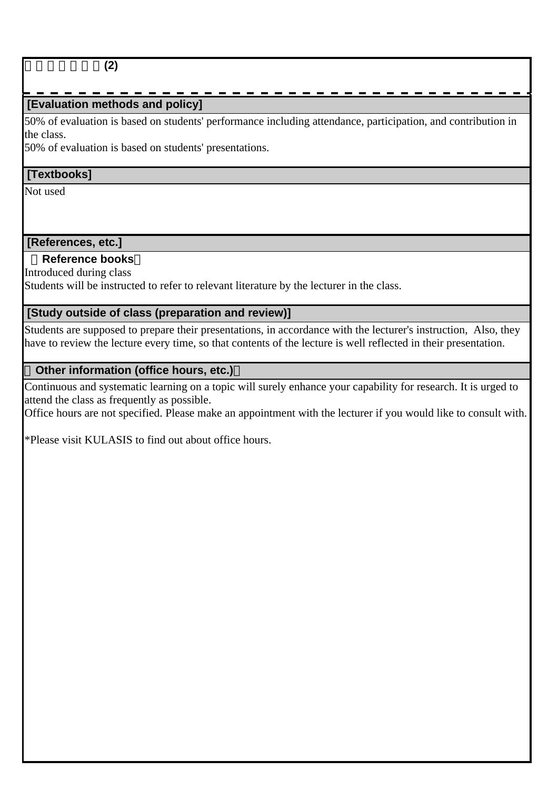## アフリカ開発論**(2)**

## **[Evaluation methods and policy]**

50% of evaluation is based on students' performance including attendance, participation, and contribution in the class.

50% of evaluation is based on students' presentations.

#### **[Textbooks]**

Not used

# **[References, etc.]**

## **Reference books**

Introduced during class

Students will be instructed to refer to relevant literature by the lecturer in the class.

## **[Study outside of class (preparation and review)]**

Students are supposed to prepare their presentations, in accordance with the lecturer's instruction, Also, they have to review the lecture every time, so that contents of the lecture is well reflected in their presentation.

#### **Other information (office hours, etc.)**

Continuous and systematic learning on a topic will surely enhance your capability for research. It is urged to attend the class as frequently as possible.

Office hours are not specified. Please make an appointment with the lecturer if you would like to consult with.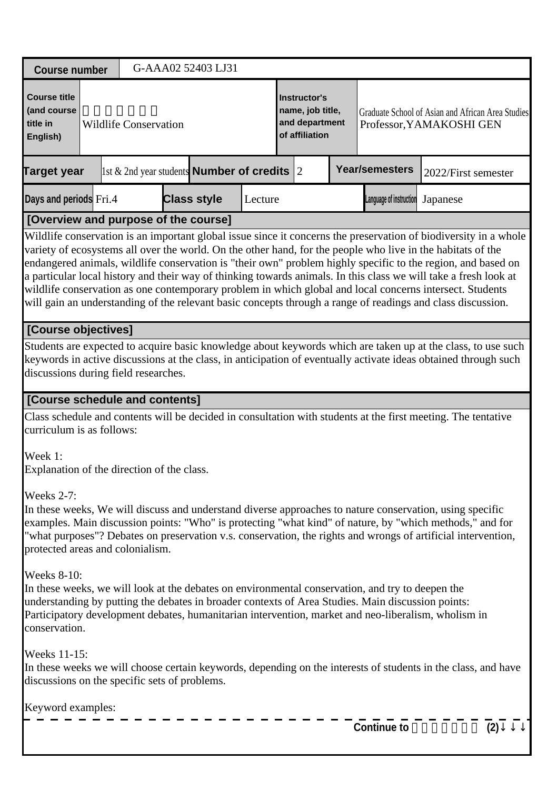| <b>Course number</b>                                          |                                                                                                                                                                                                                                                                                                                                                                                                                                                                                                                                                                                                                                                                                                                                        |  |                              |  | G-AAA02 52403 LJ31                                     |         |  |                                                                             |  |                                                                                                                                                                                                       |                                                                                                                                                                                                                                                                                                                                       |
|---------------------------------------------------------------|----------------------------------------------------------------------------------------------------------------------------------------------------------------------------------------------------------------------------------------------------------------------------------------------------------------------------------------------------------------------------------------------------------------------------------------------------------------------------------------------------------------------------------------------------------------------------------------------------------------------------------------------------------------------------------------------------------------------------------------|--|------------------------------|--|--------------------------------------------------------|---------|--|-----------------------------------------------------------------------------|--|-------------------------------------------------------------------------------------------------------------------------------------------------------------------------------------------------------|---------------------------------------------------------------------------------------------------------------------------------------------------------------------------------------------------------------------------------------------------------------------------------------------------------------------------------------|
| <b>Course title</b><br>(and course<br>title in<br>English)    |                                                                                                                                                                                                                                                                                                                                                                                                                                                                                                                                                                                                                                                                                                                                        |  | <b>Wildlife Conservation</b> |  |                                                        |         |  | <b>Instructor's</b><br>name, job title,<br>and department<br>of affiliation |  |                                                                                                                                                                                                       | Graduate School of Asian and African Area Studies<br>Professor, YAMAKOSHI GEN                                                                                                                                                                                                                                                         |
| <b>Target year</b>                                            |                                                                                                                                                                                                                                                                                                                                                                                                                                                                                                                                                                                                                                                                                                                                        |  |                              |  | 1st & 2nd year students <b>Number of credits</b> $ 2 $ |         |  |                                                                             |  | <b>Year/semesters</b>                                                                                                                                                                                 | 2022/First semester                                                                                                                                                                                                                                                                                                                   |
| Days and periods Fri.4                                        |                                                                                                                                                                                                                                                                                                                                                                                                                                                                                                                                                                                                                                                                                                                                        |  |                              |  | <b>Class style</b>                                     | Lecture |  |                                                                             |  | Language of instruction                                                                                                                                                                               | Japanese                                                                                                                                                                                                                                                                                                                              |
|                                                               |                                                                                                                                                                                                                                                                                                                                                                                                                                                                                                                                                                                                                                                                                                                                        |  |                              |  |                                                        |         |  |                                                                             |  |                                                                                                                                                                                                       |                                                                                                                                                                                                                                                                                                                                       |
|                                                               | [Overview and purpose of the course]<br>Wildlife conservation is an important global issue since it concerns the preservation of biodiversity in a whole<br>variety of ecosystems all over the world. On the other hand, for the people who live in the habitats of the<br>endangered animals, wildlife conservation is "their own" problem highly specific to the region, and based on<br>a particular local history and their way of thinking towards animals. In this class we will take a fresh look at<br>wildlife conservation as one contemporary problem in which global and local concerns intersect. Students<br>will gain an understanding of the relevant basic concepts through a range of readings and class discussion. |  |                              |  |                                                        |         |  |                                                                             |  |                                                                                                                                                                                                       |                                                                                                                                                                                                                                                                                                                                       |
|                                                               | [Course objectives]                                                                                                                                                                                                                                                                                                                                                                                                                                                                                                                                                                                                                                                                                                                    |  |                              |  |                                                        |         |  |                                                                             |  |                                                                                                                                                                                                       |                                                                                                                                                                                                                                                                                                                                       |
|                                                               | Students are expected to acquire basic knowledge about keywords which are taken up at the class, to use such<br>keywords in active discussions at the class, in anticipation of eventually activate ideas obtained through such<br>discussions during field researches.                                                                                                                                                                                                                                                                                                                                                                                                                                                                |  |                              |  |                                                        |         |  |                                                                             |  |                                                                                                                                                                                                       |                                                                                                                                                                                                                                                                                                                                       |
| [Course schedule and contents]                                |                                                                                                                                                                                                                                                                                                                                                                                                                                                                                                                                                                                                                                                                                                                                        |  |                              |  |                                                        |         |  |                                                                             |  |                                                                                                                                                                                                       |                                                                                                                                                                                                                                                                                                                                       |
| curriculum is as follows:                                     |                                                                                                                                                                                                                                                                                                                                                                                                                                                                                                                                                                                                                                                                                                                                        |  |                              |  |                                                        |         |  |                                                                             |  |                                                                                                                                                                                                       | Class schedule and contents will be decided in consultation with students at the first meeting. The tentative                                                                                                                                                                                                                         |
| Week 1:<br>Explanation of the direction of the class.         |                                                                                                                                                                                                                                                                                                                                                                                                                                                                                                                                                                                                                                                                                                                                        |  |                              |  |                                                        |         |  |                                                                             |  |                                                                                                                                                                                                       |                                                                                                                                                                                                                                                                                                                                       |
| Weeks 2-7:<br>protected areas and colonialism.                |                                                                                                                                                                                                                                                                                                                                                                                                                                                                                                                                                                                                                                                                                                                                        |  |                              |  |                                                        |         |  |                                                                             |  |                                                                                                                                                                                                       | In these weeks, We will discuss and understand diverse approaches to nature conservation, using specific<br>examples. Main discussion points: "Who" is protecting "what kind" of nature, by "which methods," and for<br>"what purposes"? Debates on preservation v.s. conservation, the rights and wrongs of artificial intervention, |
| <b>Weeks 8-10:</b><br>conservation.                           |                                                                                                                                                                                                                                                                                                                                                                                                                                                                                                                                                                                                                                                                                                                                        |  |                              |  |                                                        |         |  |                                                                             |  | In these weeks, we will look at the debates on environmental conservation, and try to deepen the<br>understanding by putting the debates in broader contexts of Area Studies. Main discussion points: | Participatory development debates, humanitarian intervention, market and neo-liberalism, wholism in                                                                                                                                                                                                                                   |
| Weeks 11-15:<br>discussions on the specific sets of problems. |                                                                                                                                                                                                                                                                                                                                                                                                                                                                                                                                                                                                                                                                                                                                        |  |                              |  |                                                        |         |  |                                                                             |  |                                                                                                                                                                                                       | In these weeks we will choose certain keywords, depending on the interests of students in the class, and have                                                                                                                                                                                                                         |
| Keyword examples:                                             |                                                                                                                                                                                                                                                                                                                                                                                                                                                                                                                                                                                                                                                                                                                                        |  |                              |  |                                                        |         |  |                                                                             |  |                                                                                                                                                                                                       |                                                                                                                                                                                                                                                                                                                                       |
|                                                               |                                                                                                                                                                                                                                                                                                                                                                                                                                                                                                                                                                                                                                                                                                                                        |  |                              |  |                                                        |         |  |                                                                             |  | <b>Continue to</b>                                                                                                                                                                                    | (2)                                                                                                                                                                                                                                                                                                                                   |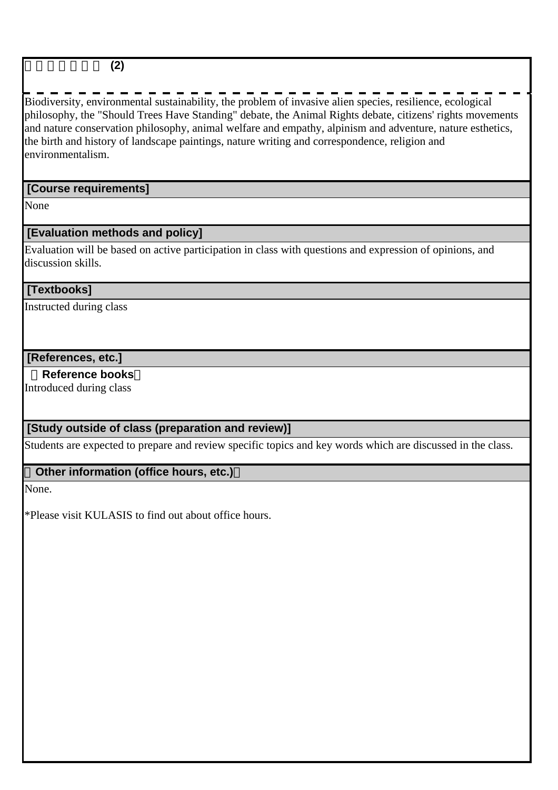### 野生動物保全論 **(2)**

Biodiversity, environmental sustainability, the problem of invasive alien species, resilience, ecological philosophy, the "Should Trees Have Standing" debate, the Animal Rights debate, citizens' rights movements and nature conservation philosophy, animal welfare and empathy, alpinism and adventure, nature esthetics, the birth and history of landscape paintings, nature writing and correspondence, religion and environmentalism.

## **[Course requirements]**

None

## **[Evaluation methods and policy]**

Evaluation will be based on active participation in class with questions and expression of opinions, and discussion skills.

#### **[Textbooks]**

Instructed during class

#### **[References, etc.]**

#### **Reference books**

Introduced during class

## **[Study outside of class (preparation and review)]**

Students are expected to prepare and review specific topics and key words which are discussed in the class.

#### **Other information (office hours, etc.)**

None.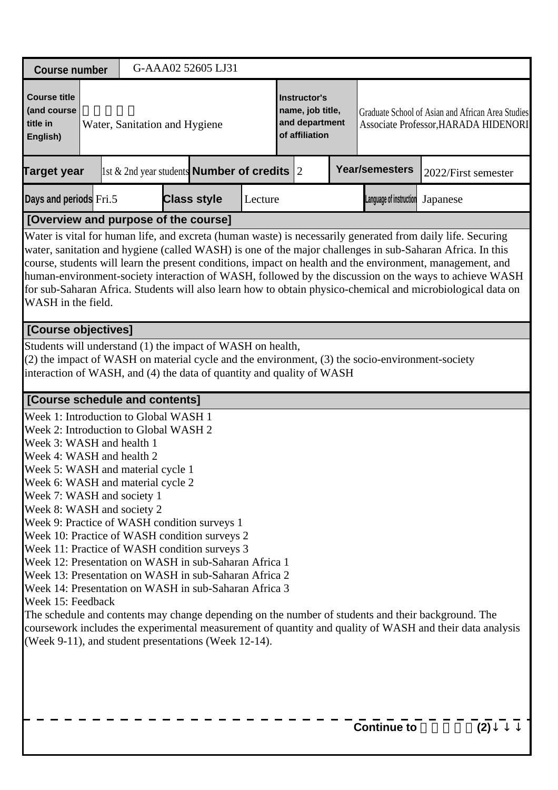| <b>Course number</b>                                                                                                                                                                                                                                                                                                                                                                                                                                                                                                                                                                                                                                                                                                                                                                           |                               |  | G-AAA02 52605 LJ31                                         |         |  |                                                                             |  |                         |                                                                                                                                                                                                                                                                                                                                                                                                                                                                                                                                                               |  |  |
|------------------------------------------------------------------------------------------------------------------------------------------------------------------------------------------------------------------------------------------------------------------------------------------------------------------------------------------------------------------------------------------------------------------------------------------------------------------------------------------------------------------------------------------------------------------------------------------------------------------------------------------------------------------------------------------------------------------------------------------------------------------------------------------------|-------------------------------|--|------------------------------------------------------------|---------|--|-----------------------------------------------------------------------------|--|-------------------------|---------------------------------------------------------------------------------------------------------------------------------------------------------------------------------------------------------------------------------------------------------------------------------------------------------------------------------------------------------------------------------------------------------------------------------------------------------------------------------------------------------------------------------------------------------------|--|--|
| <b>Course title</b><br>(and course<br>title in<br>English)                                                                                                                                                                                                                                                                                                                                                                                                                                                                                                                                                                                                                                                                                                                                     | Water, Sanitation and Hygiene |  |                                                            |         |  | <b>Instructor's</b><br>name, job title,<br>and department<br>of affiliation |  |                         | Graduate School of Asian and African Area Studies<br>Associate Professor, HARADA HIDENORI                                                                                                                                                                                                                                                                                                                                                                                                                                                                     |  |  |
| <b>Target year</b>                                                                                                                                                                                                                                                                                                                                                                                                                                                                                                                                                                                                                                                                                                                                                                             |                               |  | $\vert$ 1st & 2nd year students <b>Number of credits</b> 2 |         |  |                                                                             |  | <b>Year/semesters</b>   | 2022/First semester                                                                                                                                                                                                                                                                                                                                                                                                                                                                                                                                           |  |  |
| Days and periods Fri.5                                                                                                                                                                                                                                                                                                                                                                                                                                                                                                                                                                                                                                                                                                                                                                         |                               |  | <b>Class style</b>                                         | Lecture |  |                                                                             |  | Language of instruction | Japanese                                                                                                                                                                                                                                                                                                                                                                                                                                                                                                                                                      |  |  |
| [Overview and purpose of the course]                                                                                                                                                                                                                                                                                                                                                                                                                                                                                                                                                                                                                                                                                                                                                           |                               |  |                                                            |         |  |                                                                             |  |                         |                                                                                                                                                                                                                                                                                                                                                                                                                                                                                                                                                               |  |  |
| WASH in the field.                                                                                                                                                                                                                                                                                                                                                                                                                                                                                                                                                                                                                                                                                                                                                                             |                               |  |                                                            |         |  |                                                                             |  |                         | Water is vital for human life, and excreta (human waste) is necessarily generated from daily life. Securing<br>water, sanitation and hygiene (called WASH) is one of the major challenges in sub-Saharan Africa. In this<br>course, students will learn the present conditions, impact on health and the environment, management, and<br>human-environment-society interaction of WASH, followed by the discussion on the ways to achieve WASH<br>for sub-Saharan Africa. Students will also learn how to obtain physico-chemical and microbiological data on |  |  |
|                                                                                                                                                                                                                                                                                                                                                                                                                                                                                                                                                                                                                                                                                                                                                                                                | [Course objectives]           |  |                                                            |         |  |                                                                             |  |                         |                                                                                                                                                                                                                                                                                                                                                                                                                                                                                                                                                               |  |  |
| Students will understand (1) the impact of WASH on health,<br>(2) the impact of WASH on material cycle and the environment, (3) the socio-environment-society<br>interaction of WASH, and (4) the data of quantity and quality of WASH                                                                                                                                                                                                                                                                                                                                                                                                                                                                                                                                                         |                               |  |                                                            |         |  |                                                                             |  |                         |                                                                                                                                                                                                                                                                                                                                                                                                                                                                                                                                                               |  |  |
| [Course schedule and contents]                                                                                                                                                                                                                                                                                                                                                                                                                                                                                                                                                                                                                                                                                                                                                                 |                               |  |                                                            |         |  |                                                                             |  |                         |                                                                                                                                                                                                                                                                                                                                                                                                                                                                                                                                                               |  |  |
| Week 1: Introduction to Global WASH 1<br>Week 2: Introduction to Global WASH 2<br>Week 3: WASH and health 1<br>Week 4: WASH and health 2<br>Week 5: WASH and material cycle 1<br>Week 6: WASH and material cycle 2<br>Week 7: WASH and society 1<br>Week 8: WASH and society 2<br>Week 9: Practice of WASH condition surveys 1<br>Week 10: Practice of WASH condition surveys 2<br>Week 11: Practice of WASH condition surveys 3<br>Week 12: Presentation on WASH in sub-Saharan Africa 1<br>Week 13: Presentation on WASH in sub-Saharan Africa 2<br>Week 14: Presentation on WASH in sub-Saharan Africa 3<br>Week 15: Feedback<br>The schedule and contents may change depending on the number of students and their background. The<br>(Week 9-11), and student presentations (Week 12-14). |                               |  |                                                            |         |  |                                                                             |  |                         | coursework includes the experimental measurement of quantity and quality of WASH and their data analysis                                                                                                                                                                                                                                                                                                                                                                                                                                                      |  |  |
|                                                                                                                                                                                                                                                                                                                                                                                                                                                                                                                                                                                                                                                                                                                                                                                                |                               |  |                                                            |         |  |                                                                             |  | <b>Continue to</b>      | (2)                                                                                                                                                                                                                                                                                                                                                                                                                                                                                                                                                           |  |  |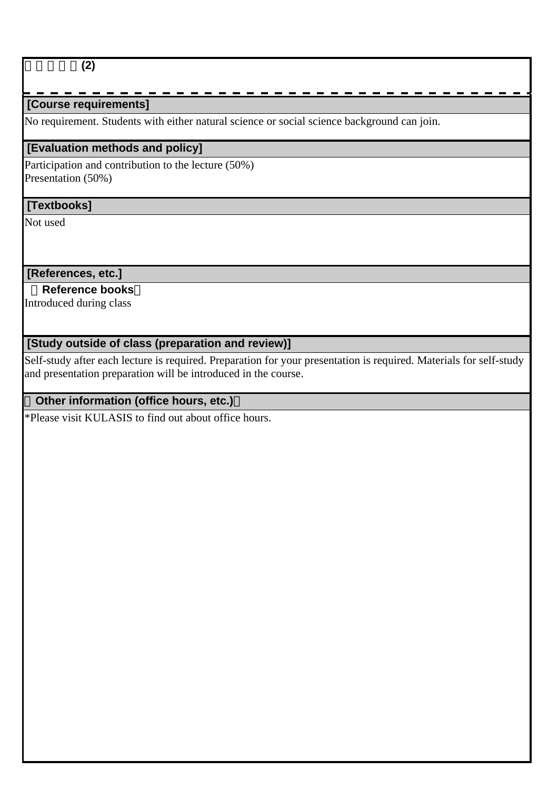## 水・衛生論**(2)**

## **[Course requirements]**

No requirement. Students with either natural science or social science background can join.

#### **[Evaluation methods and policy]**

Participation and contribution to the lecture (50%) Presentation (50%)

#### **[Textbooks]**

Not used

 **[References, etc.]**

#### **Reference books**

Introduced during class

## **[Study outside of class (preparation and review)]**

Self-study after each lecture is required. Preparation for your presentation is required. Materials for self-study and presentation preparation will be introduced in the course.

## **Other information (office hours, etc.)**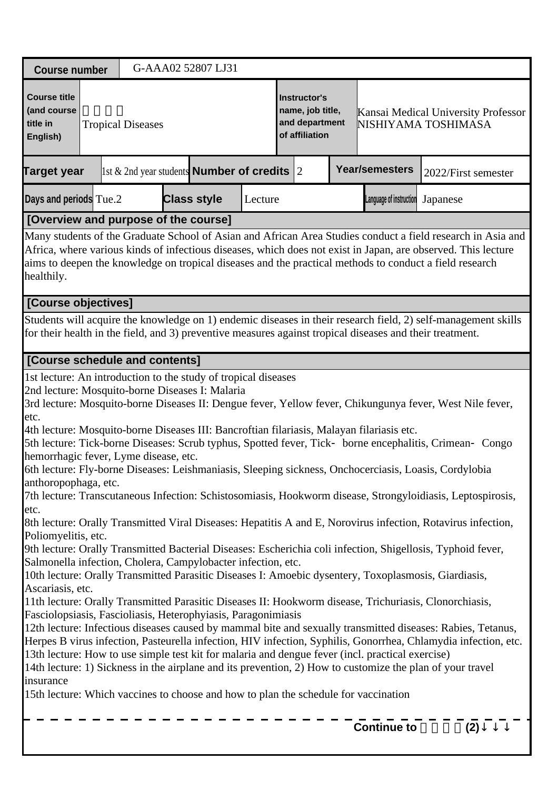| <b>Course number</b>                                                                                                                  | G-AAA02 52807 LJ31                                                                                                                                                                                                                                                                                                                                                                                                                                                                                                                                                                                                                                                                                                                                                                                                                                                                                                                                                                                                                                                                                                                                                                                                                                                                                                                                                                                                                                                                                                                                                                                                                                                                                                                                                              |         |                                                                             |                         |                                                            |
|---------------------------------------------------------------------------------------------------------------------------------------|---------------------------------------------------------------------------------------------------------------------------------------------------------------------------------------------------------------------------------------------------------------------------------------------------------------------------------------------------------------------------------------------------------------------------------------------------------------------------------------------------------------------------------------------------------------------------------------------------------------------------------------------------------------------------------------------------------------------------------------------------------------------------------------------------------------------------------------------------------------------------------------------------------------------------------------------------------------------------------------------------------------------------------------------------------------------------------------------------------------------------------------------------------------------------------------------------------------------------------------------------------------------------------------------------------------------------------------------------------------------------------------------------------------------------------------------------------------------------------------------------------------------------------------------------------------------------------------------------------------------------------------------------------------------------------------------------------------------------------------------------------------------------------|---------|-----------------------------------------------------------------------------|-------------------------|------------------------------------------------------------|
| <b>Course title</b><br>(and course<br>title in<br><b>Tropical Diseases</b><br>English)                                                |                                                                                                                                                                                                                                                                                                                                                                                                                                                                                                                                                                                                                                                                                                                                                                                                                                                                                                                                                                                                                                                                                                                                                                                                                                                                                                                                                                                                                                                                                                                                                                                                                                                                                                                                                                                 |         | <b>Instructor's</b><br>name, job title,<br>and department<br>of affiliation |                         | Kansai Medical University Professor<br>NISHIYAMA TOSHIMASA |
| Target year                                                                                                                           | $\vert$ 1st & 2nd year students <b>Number of credits</b> 2                                                                                                                                                                                                                                                                                                                                                                                                                                                                                                                                                                                                                                                                                                                                                                                                                                                                                                                                                                                                                                                                                                                                                                                                                                                                                                                                                                                                                                                                                                                                                                                                                                                                                                                      |         |                                                                             | <b>Year/semesters</b>   | 2022/First semester                                        |
| Days and periods Tue.2                                                                                                                | <b>Class style</b>                                                                                                                                                                                                                                                                                                                                                                                                                                                                                                                                                                                                                                                                                                                                                                                                                                                                                                                                                                                                                                                                                                                                                                                                                                                                                                                                                                                                                                                                                                                                                                                                                                                                                                                                                              | Lecture |                                                                             | Language of instruction | Japanese                                                   |
|                                                                                                                                       | [Overview and purpose of the course]                                                                                                                                                                                                                                                                                                                                                                                                                                                                                                                                                                                                                                                                                                                                                                                                                                                                                                                                                                                                                                                                                                                                                                                                                                                                                                                                                                                                                                                                                                                                                                                                                                                                                                                                            |         |                                                                             |                         |                                                            |
| healthily.                                                                                                                            | Many students of the Graduate School of Asian and African Area Studies conduct a field research in Asia and<br>Africa, where various kinds of infectious diseases, which does not exist in Japan, are observed. This lecture<br>aims to deepen the knowledge on tropical diseases and the practical methods to conduct a field research                                                                                                                                                                                                                                                                                                                                                                                                                                                                                                                                                                                                                                                                                                                                                                                                                                                                                                                                                                                                                                                                                                                                                                                                                                                                                                                                                                                                                                         |         |                                                                             |                         |                                                            |
| [Course objectives]                                                                                                                   |                                                                                                                                                                                                                                                                                                                                                                                                                                                                                                                                                                                                                                                                                                                                                                                                                                                                                                                                                                                                                                                                                                                                                                                                                                                                                                                                                                                                                                                                                                                                                                                                                                                                                                                                                                                 |         |                                                                             |                         |                                                            |
|                                                                                                                                       | Students will acquire the knowledge on 1) endemic diseases in their research field, 2) self-management skills<br>for their health in the field, and 3) preventive measures against tropical diseases and their treatment.                                                                                                                                                                                                                                                                                                                                                                                                                                                                                                                                                                                                                                                                                                                                                                                                                                                                                                                                                                                                                                                                                                                                                                                                                                                                                                                                                                                                                                                                                                                                                       |         |                                                                             |                         |                                                            |
| [Course schedule and contents]                                                                                                        |                                                                                                                                                                                                                                                                                                                                                                                                                                                                                                                                                                                                                                                                                                                                                                                                                                                                                                                                                                                                                                                                                                                                                                                                                                                                                                                                                                                                                                                                                                                                                                                                                                                                                                                                                                                 |         |                                                                             |                         |                                                            |
| etc.<br>hemorrhagic fever, Lyme disease, etc.<br>anthoropophaga, etc.<br>etc.<br>Poliomyelitis, etc.<br>Ascariasis, etc.<br>insurance | 1st lecture: An introduction to the study of tropical diseases<br>2nd lecture: Mosquito-borne Diseases I: Malaria<br>3rd lecture: Mosquito-borne Diseases II: Dengue fever, Yellow fever, Chikungunya fever, West Nile fever,<br>4th lecture: Mosquito-borne Diseases III: Bancroftian filariasis, Malayan filariasis etc.<br>5th lecture: Tick-borne Diseases: Scrub typhus, Spotted fever, Tick borne encephalitis, Crimean<br>6th lecture: Fly-borne Diseases: Leishmaniasis, Sleeping sickness, Onchocerciasis, Loasis, Cordylobia<br>7th lecture: Transcutaneous Infection: Schistosomiasis, Hookworm disease, Strongyloidiasis, Leptospirosis,<br>8th lecture: Orally Transmitted Viral Diseases: Hepatitis A and E, Norovirus infection, Rotavirus infection,<br>9th lecture: Orally Transmitted Bacterial Diseases: Escherichia coli infection, Shigellosis, Typhoid fever,<br>Salmonella infection, Cholera, Campylobacter infection, etc.<br>10th lecture: Orally Transmitted Parasitic Diseases I: Amoebic dysentery, Toxoplasmosis, Giardiasis,<br>11th lecture: Orally Transmitted Parasitic Diseases II: Hookworm disease, Trichuriasis, Clonorchiasis,<br>Fasciolopsiasis, Fascioliasis, Heterophyiasis, Paragonimiasis<br>12th lecture: Infectious diseases caused by mammal bite and sexually transmitted diseases: Rabies, Tetanus,<br>Herpes B virus infection, Pasteurella infection, HIV infection, Syphilis, Gonorrhea, Chlamydia infection, etc.<br>13th lecture: How to use simple test kit for malaria and dengue fever (incl. practical exercise)<br>14th lecture: 1) Sickness in the airplane and its prevention, 2) How to customize the plan of your travel<br>15th lecture: Which vaccines to choose and how to plan the schedule for vaccination |         |                                                                             | <b>Continue to</b>      | Congo<br>(2)                                               |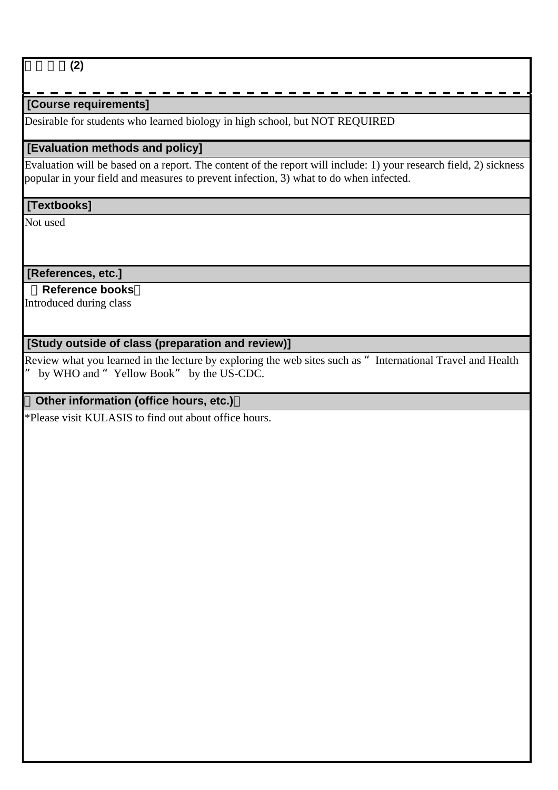熱帯病学**(2)**

## **[Course requirements]**

Desirable for students who learned biology in high school, but NOT REQUIRED

### **[Evaluation methods and policy]**

Evaluation will be based on a report. The content of the report will include: 1) your research field, 2) sickness popular in your field and measures to prevent infection, 3) what to do when infected.

#### **[Textbooks]**

Not used

#### **[References, etc.]**

## **Reference books**

Introduced during class

## **[Study outside of class (preparation and review)]**

Review what you learned in the lecture by exploring the web sites such as "International Travel and Health by WHO and "Yellow Book" by the US-CDC.

## **Other information (office hours, etc.)**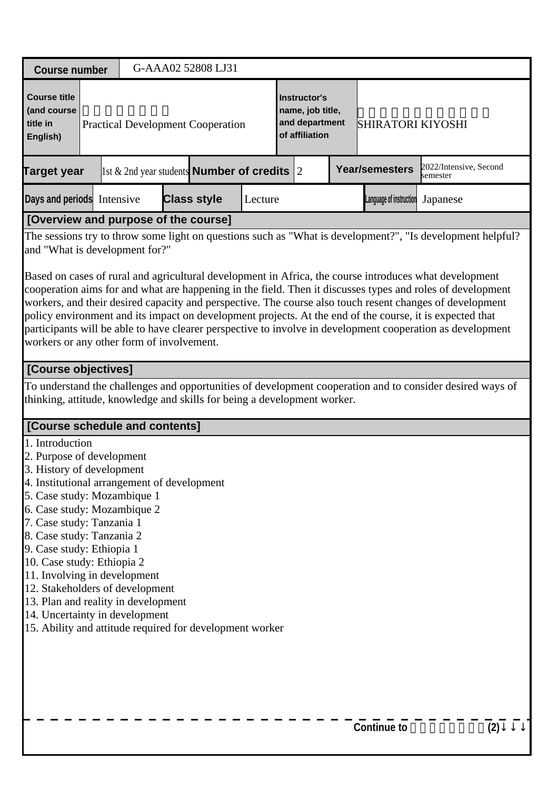| <b>Course number</b>                                                                                                                                                                                                                                                                                                                                                                                                                                                                                                | G-AAA02 52808 LJ31                                         |                    |         |                                                                      |                       |                                                                                                                                                                                                                                                                                                                                        |
|---------------------------------------------------------------------------------------------------------------------------------------------------------------------------------------------------------------------------------------------------------------------------------------------------------------------------------------------------------------------------------------------------------------------------------------------------------------------------------------------------------------------|------------------------------------------------------------|--------------------|---------|----------------------------------------------------------------------|-----------------------|----------------------------------------------------------------------------------------------------------------------------------------------------------------------------------------------------------------------------------------------------------------------------------------------------------------------------------------|
| <b>Course title</b><br>(and course<br>title in<br>English)                                                                                                                                                                                                                                                                                                                                                                                                                                                          | <b>Practical Development Cooperation</b>                   |                    |         | Instructor's<br>name, job title,<br>and department<br>of affiliation |                       | <b>SHIRATORI KIYOSHI</b>                                                                                                                                                                                                                                                                                                               |
| <b>Target year</b>                                                                                                                                                                                                                                                                                                                                                                                                                                                                                                  | $\vert$ 1st & 2nd year students <b>Number of credits</b> 2 |                    |         |                                                                      | <b>Year/semesters</b> | 2022/Intensive, Second<br>semester                                                                                                                                                                                                                                                                                                     |
| Days and periods Intensive                                                                                                                                                                                                                                                                                                                                                                                                                                                                                          |                                                            | <b>Class style</b> | Lecture |                                                                      |                       | Language of instruction Japanese                                                                                                                                                                                                                                                                                                       |
| [Overview and purpose of the course]                                                                                                                                                                                                                                                                                                                                                                                                                                                                                |                                                            |                    |         |                                                                      |                       |                                                                                                                                                                                                                                                                                                                                        |
| and "What is development for?"<br>Based on cases of rural and agricultural development in Africa, the course introduces what development<br>workers, and their desired capacity and perspective. The course also touch resent changes of development<br>policy environment and its impact on development projects. At the end of the course, it is expected that<br>workers or any other form of involvement.                                                                                                       |                                                            |                    |         |                                                                      |                       | The sessions try to throw some light on questions such as "What is development?", "Is development helpful?<br>cooperation aims for and what are happening in the field. Then it discusses types and roles of development<br>participants will be able to have clearer perspective to involve in development cooperation as development |
| [Course objectives]                                                                                                                                                                                                                                                                                                                                                                                                                                                                                                 |                                                            |                    |         |                                                                      |                       |                                                                                                                                                                                                                                                                                                                                        |
| thinking, attitude, knowledge and skills for being a development worker.                                                                                                                                                                                                                                                                                                                                                                                                                                            |                                                            |                    |         |                                                                      |                       | To understand the challenges and opportunities of development cooperation and to consider desired ways of                                                                                                                                                                                                                              |
| [Course schedule and contents]                                                                                                                                                                                                                                                                                                                                                                                                                                                                                      |                                                            |                    |         |                                                                      |                       |                                                                                                                                                                                                                                                                                                                                        |
| 1. Introduction<br>2. Purpose of development<br>3. History of development<br>4. Institutional arrangement of development<br>5. Case study: Mozambique 1<br>6. Case study: Mozambique 2<br>7. Case study: Tanzania 1<br>8. Case study: Tanzania 2<br>9. Case study: Ethiopia 1<br>10. Case study: Ethiopia 2<br>11. Involving in development<br>12. Stakeholders of development<br>13. Plan and reality in development<br>14. Uncertainty in development<br>15. Ability and attitude required for development worker |                                                            |                    |         |                                                                      |                       |                                                                                                                                                                                                                                                                                                                                        |
|                                                                                                                                                                                                                                                                                                                                                                                                                                                                                                                     |                                                            |                    |         |                                                                      | <b>Continue to</b>    | (2)                                                                                                                                                                                                                                                                                                                                    |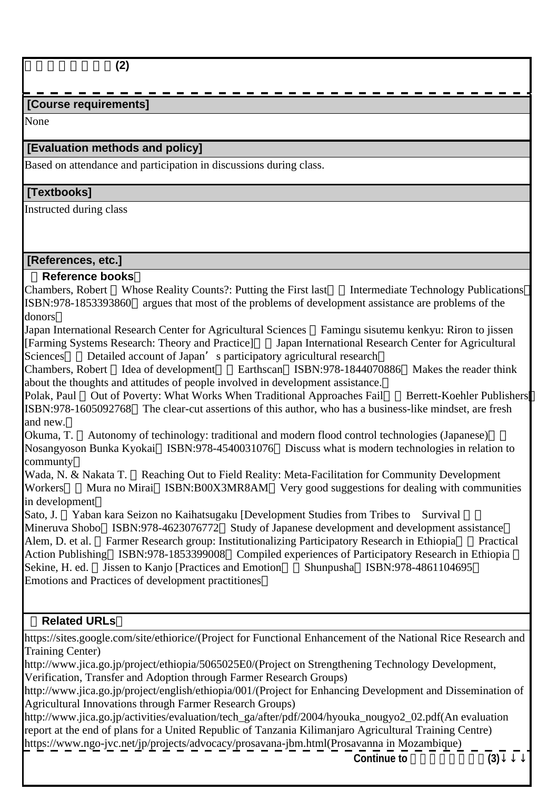## **[Course requirements]**

None

## **[Evaluation methods and policy]**

Based on attendance and participation in discussions during class.

#### **[Textbooks]**

Instructed during class

#### **[References, etc.]**

#### **Reference books**

Chambers, Robert Whose Reality Counts?: Putting the First last Intermediate Technology Publications ISBN:978-1853393860 argues that most of the problems of development assistance are problems of the donors

Japan International Research Center for Agricultural Sciences Famingu sisutemu kenkyu: Riron to jissen [Farming Systems Research: Theory and Practice] Japan International Research Center for Agricultural Sciences Detailed account of Japan's participatory agricultural research

Chambers, Robert Idea of development Earthscan ISBN:978-1844070886 Makes the reader think about the thoughts and attitudes of people involved in development assistance.

Polak, Paul Out of Poverty: What Works When Traditional Approaches Fail Berrett-Koehler Publishers ISBN:978-1605092768 The clear-cut assertions of this author, who has a business-like mindset, are fresh and new.

Okuma, T. Autonomy of techinology: traditional and modern flood control technologies (Japanese)』( Nosangyoson Bunka Kyokai ISBN:978-4540031076 Discuss what is modern technologies in relation to

communty<br>Wada, N. & Nakata T. Wada, N. & Nakata T. Reaching Out to Field Reality: Meta-Facilitation for Community Development<br>Workers Mura no Mirai ISBN:B00X3MR8AM Very good suggestions for dealing with communi Mura no Mirai ISBN:B00X3MR8AM Very good suggestions for dealing with communities in development

Sato, J. Yaban kara Seizon no Kaihatsugaku [Development Studies from Tribes to Survival Mineruva Shobo ISBN:978-4623076772 Study of Japanese development and development assistance Alem, D. et al. Farmer Research group: Institutionalizing Participatory Research in Ethiopia Practical Action Publishing ISBN:978-1853399008 Compiled experiences of Participatory Research in Ethiopia Sekine, H. ed. Jissen to Kanjo [Practices and Emotion Shunpusha ISBN:978-4861104695 Emotions and Practices of development practitiones

#### **Related URLs**

https://sites.google.com/site/ethiorice/(Project for Functional Enhancement of the National Rice Research and Training Center)

http://www.jica.go.jp/project/ethiopia/5065025E0/(Project on Strengthening Technology Development, Verification, Transfer and Adoption through Farmer Research Groups)

http://www.jica.go.jp/project/english/ethiopia/001/(Project for Enhancing Development and Dissemination of Agricultural Innovations through Farmer Research Groups)

http://www.jica.go.jp/activities/evaluation/tech\_ga/after/pdf/2004/hyouka\_nougyo2\_02.pdf(An evaluation report at the end of plans for a United Republic of Tanzania Kilimanjaro Agricultural Training Centre) https://www.ngo-jvc.net/jp/projects/advocacy/prosavana-jbm.html(Prosavanna in Mozambique)

**Continue to** 実践的開発協力論**(3)**↓↓↓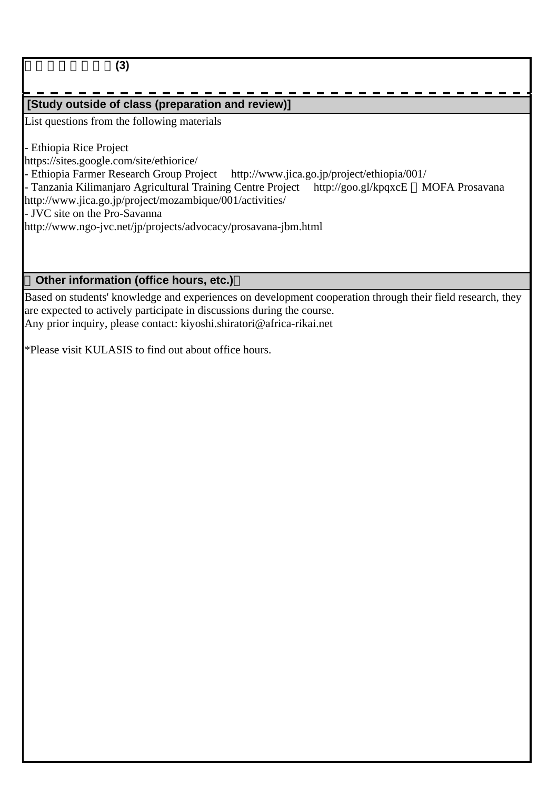実践的開発協力論**(3)**

# **[Study outside of class (preparation and review)]**

List questions from the following materials

- Ethiopia Rice Project

https://sites.google.com/site/ethiorice/

- Ethiopia Farmer Research Group Project http://www.jica.go.jp/project/ethiopia/001/

- Tanzania Kilimanjaro Agricultural Training Centre Project http://goo.gl/kpqxcE MOFA Prosavana http://www.jica.go.jp/project/mozambique/001/activities/

- JVC site on the Pro-Savanna

http://www.ngo-jvc.net/jp/projects/advocacy/prosavana-jbm.html

## **Other information (office hours, etc.)**

Based on students' knowledge and experiences on development cooperation through their field research, they are expected to actively participate in discussions during the course. Any prior inquiry, please contact: kiyoshi.shiratori@africa-rikai.net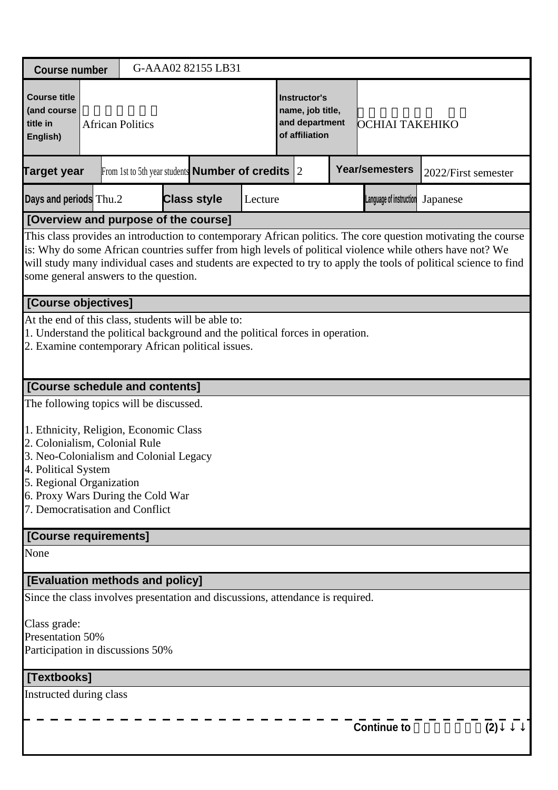| <b>Course number</b>                                                                                                                                                                                                                                                                    |                         |  | G-AAA02 82155 LB31                                           |         |                                                                      |                                                                                                                                                                                                                                                                                                                                                 |                     |     |
|-----------------------------------------------------------------------------------------------------------------------------------------------------------------------------------------------------------------------------------------------------------------------------------------|-------------------------|--|--------------------------------------------------------------|---------|----------------------------------------------------------------------|-------------------------------------------------------------------------------------------------------------------------------------------------------------------------------------------------------------------------------------------------------------------------------------------------------------------------------------------------|---------------------|-----|
| <b>Course title</b><br>(and course<br>title in<br>English)                                                                                                                                                                                                                              | <b>African Politics</b> |  |                                                              |         | Instructor's<br>name, job title,<br>and department<br>of affiliation | OCHIAI TAKEHIKO                                                                                                                                                                                                                                                                                                                                 |                     |     |
| <b>Target year</b>                                                                                                                                                                                                                                                                      |                         |  | From 1st to 5th year students <b>Number of credits</b> $ 2 $ |         |                                                                      | <b>Year/semesters</b>                                                                                                                                                                                                                                                                                                                           | 2022/First semester |     |
| Days and periods Thu.2                                                                                                                                                                                                                                                                  |                         |  | <b>Class style</b>                                           | Lecture |                                                                      | Language of instruction                                                                                                                                                                                                                                                                                                                         | Japanese            |     |
| [Overview and purpose of the course]                                                                                                                                                                                                                                                    |                         |  |                                                              |         |                                                                      |                                                                                                                                                                                                                                                                                                                                                 |                     |     |
| some general answers to the question.                                                                                                                                                                                                                                                   |                         |  |                                                              |         |                                                                      | This class provides an introduction to contemporary African politics. The core question motivating the course<br>is: Why do some African countries suffer from high levels of political violence while others have not? We<br>will study many individual cases and students are expected to try to apply the tools of political science to find |                     |     |
| [Course objectives]                                                                                                                                                                                                                                                                     |                         |  |                                                              |         |                                                                      |                                                                                                                                                                                                                                                                                                                                                 |                     |     |
| At the end of this class, students will be able to:<br>1. Understand the political background and the political forces in operation.<br>2. Examine contemporary African political issues.                                                                                               |                         |  |                                                              |         |                                                                      |                                                                                                                                                                                                                                                                                                                                                 |                     |     |
| [Course schedule and contents]                                                                                                                                                                                                                                                          |                         |  |                                                              |         |                                                                      |                                                                                                                                                                                                                                                                                                                                                 |                     |     |
| The following topics will be discussed.<br>1. Ethnicity, Religion, Economic Class<br>2. Colonialism, Colonial Rule<br>3. Neo-Colonialism and Colonial Legacy<br>4. Political System<br>5. Regional Organization<br>6. Proxy Wars During the Cold War<br>7. Democratisation and Conflict |                         |  |                                                              |         |                                                                      |                                                                                                                                                                                                                                                                                                                                                 |                     |     |
| [Course requirements]                                                                                                                                                                                                                                                                   |                         |  |                                                              |         |                                                                      |                                                                                                                                                                                                                                                                                                                                                 |                     |     |
| None                                                                                                                                                                                                                                                                                    |                         |  |                                                              |         |                                                                      |                                                                                                                                                                                                                                                                                                                                                 |                     |     |
| <b>[Evaluation methods and policy]</b>                                                                                                                                                                                                                                                  |                         |  |                                                              |         |                                                                      |                                                                                                                                                                                                                                                                                                                                                 |                     |     |
| Since the class involves presentation and discussions, attendance is required.                                                                                                                                                                                                          |                         |  |                                                              |         |                                                                      |                                                                                                                                                                                                                                                                                                                                                 |                     |     |
| Class grade:<br>Presentation 50%<br>Participation in discussions 50%                                                                                                                                                                                                                    |                         |  |                                                              |         |                                                                      |                                                                                                                                                                                                                                                                                                                                                 |                     |     |
| [Textbooks]                                                                                                                                                                                                                                                                             |                         |  |                                                              |         |                                                                      |                                                                                                                                                                                                                                                                                                                                                 |                     |     |
| Instructed during class                                                                                                                                                                                                                                                                 |                         |  |                                                              |         |                                                                      |                                                                                                                                                                                                                                                                                                                                                 |                     |     |
|                                                                                                                                                                                                                                                                                         |                         |  |                                                              |         |                                                                      | <b>Continue to</b>                                                                                                                                                                                                                                                                                                                              |                     | (2) |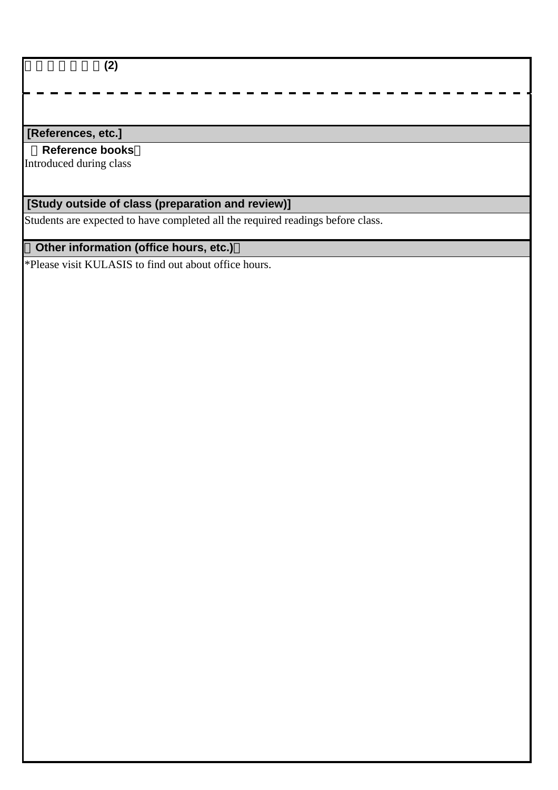アフリカ政治論**(2)**

## **[References, etc.]**

#### **Reference books**

Introduced during class

# **[Study outside of class (preparation and review)]**

Students are expected to have completed all the required readings before class.

# **Other information (office hours, etc.)**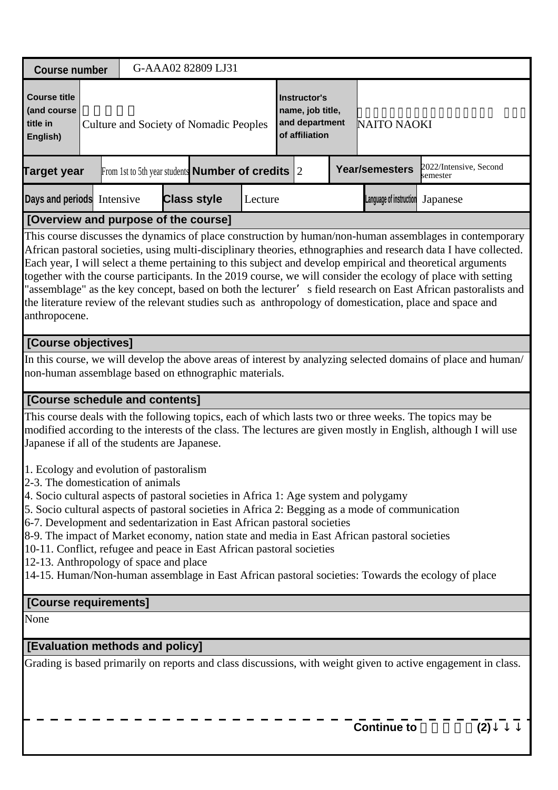| <b>Course number</b>                                                                                                                                                                                                                                                                                                                                                                                                                                                                                                                                                  | G-AAA02 82809 LJ31                                               |         |                                                                      |                         |                                                                                                                                                                                                                                                                                                                                                                                                                                                                                                                                                                                                                                                                                           |
|-----------------------------------------------------------------------------------------------------------------------------------------------------------------------------------------------------------------------------------------------------------------------------------------------------------------------------------------------------------------------------------------------------------------------------------------------------------------------------------------------------------------------------------------------------------------------|------------------------------------------------------------------|---------|----------------------------------------------------------------------|-------------------------|-------------------------------------------------------------------------------------------------------------------------------------------------------------------------------------------------------------------------------------------------------------------------------------------------------------------------------------------------------------------------------------------------------------------------------------------------------------------------------------------------------------------------------------------------------------------------------------------------------------------------------------------------------------------------------------------|
| <b>Course title</b><br>(and course<br>title in<br>English)                                                                                                                                                                                                                                                                                                                                                                                                                                                                                                            | <b>Culture and Society of Nomadic Peoples</b>                    |         | Instructor's<br>name, job title,<br>and department<br>of affiliation | <b>NAITO NAOKI</b>      |                                                                                                                                                                                                                                                                                                                                                                                                                                                                                                                                                                                                                                                                                           |
| <b>Target year</b>                                                                                                                                                                                                                                                                                                                                                                                                                                                                                                                                                    | From 1st to 5th year students <b>Number of credits</b> $\vert$ 2 |         |                                                                      | <b>Year/semesters</b>   | 2022/Intensive, Second<br>semester                                                                                                                                                                                                                                                                                                                                                                                                                                                                                                                                                                                                                                                        |
| Days and periods Intensive                                                                                                                                                                                                                                                                                                                                                                                                                                                                                                                                            | <b>Class style</b>                                               | Lecture |                                                                      | Language of instruction | Japanese                                                                                                                                                                                                                                                                                                                                                                                                                                                                                                                                                                                                                                                                                  |
| [Overview and purpose of the course]                                                                                                                                                                                                                                                                                                                                                                                                                                                                                                                                  |                                                                  |         |                                                                      |                         |                                                                                                                                                                                                                                                                                                                                                                                                                                                                                                                                                                                                                                                                                           |
| anthropocene.                                                                                                                                                                                                                                                                                                                                                                                                                                                                                                                                                         |                                                                  |         |                                                                      |                         | This course discusses the dynamics of place construction by human/non-human assemblages in contemporary<br>African pastoral societies, using multi-disciplinary theories, ethnographies and research data I have collected.<br>Each year, I will select a theme pertaining to this subject and develop empirical and theoretical arguments<br>together with the course participants. In the 2019 course, we will consider the ecology of place with setting<br>"assemblage" as the key concept, based on both the lecturer' s field research on East African pastoralists and<br>the literature review of the relevant studies such as anthropology of domestication, place and space and |
| [Course objectives]                                                                                                                                                                                                                                                                                                                                                                                                                                                                                                                                                   |                                                                  |         |                                                                      |                         |                                                                                                                                                                                                                                                                                                                                                                                                                                                                                                                                                                                                                                                                                           |
| non-human assemblage based on ethnographic materials.                                                                                                                                                                                                                                                                                                                                                                                                                                                                                                                 |                                                                  |         |                                                                      |                         | In this course, we will develop the above areas of interest by analyzing selected domains of place and human/                                                                                                                                                                                                                                                                                                                                                                                                                                                                                                                                                                             |
| [Course schedule and contents]                                                                                                                                                                                                                                                                                                                                                                                                                                                                                                                                        |                                                                  |         |                                                                      |                         |                                                                                                                                                                                                                                                                                                                                                                                                                                                                                                                                                                                                                                                                                           |
| This course deals with the following topics, each of which lasts two or three weeks. The topics may be<br>Japanese if all of the students are Japanese.                                                                                                                                                                                                                                                                                                                                                                                                               |                                                                  |         |                                                                      |                         | modified according to the interests of the class. The lectures are given mostly in English, although I will use                                                                                                                                                                                                                                                                                                                                                                                                                                                                                                                                                                           |
| 1. Ecology and evolution of pastoralism<br>2-3. The domestication of animals<br>4. Socio cultural aspects of pastoral societies in Africa 1: Age system and polygamy<br>5. Socio cultural aspects of pastoral societies in Africa 2: Begging as a mode of communication<br>6-7. Development and sedentarization in East African pastoral societies<br>8-9. The impact of Market economy, nation state and media in East African pastoral societies<br>10-11. Conflict, refugee and peace in East African pastoral societies<br>12-13. Anthropology of space and place |                                                                  |         |                                                                      |                         | 14-15. Human/Non-human assemblage in East African pastoral societies: Towards the ecology of place                                                                                                                                                                                                                                                                                                                                                                                                                                                                                                                                                                                        |
| [Course requirements]                                                                                                                                                                                                                                                                                                                                                                                                                                                                                                                                                 |                                                                  |         |                                                                      |                         |                                                                                                                                                                                                                                                                                                                                                                                                                                                                                                                                                                                                                                                                                           |
| None                                                                                                                                                                                                                                                                                                                                                                                                                                                                                                                                                                  |                                                                  |         |                                                                      |                         |                                                                                                                                                                                                                                                                                                                                                                                                                                                                                                                                                                                                                                                                                           |
| [Evaluation methods and policy]                                                                                                                                                                                                                                                                                                                                                                                                                                                                                                                                       |                                                                  |         |                                                                      |                         |                                                                                                                                                                                                                                                                                                                                                                                                                                                                                                                                                                                                                                                                                           |
|                                                                                                                                                                                                                                                                                                                                                                                                                                                                                                                                                                       |                                                                  |         |                                                                      | <b>Continue to</b>      | Grading is based primarily on reports and class discussions, with weight given to active engagement in class.<br>(2)                                                                                                                                                                                                                                                                                                                                                                                                                                                                                                                                                                      |
|                                                                                                                                                                                                                                                                                                                                                                                                                                                                                                                                                                       |                                                                  |         |                                                                      |                         |                                                                                                                                                                                                                                                                                                                                                                                                                                                                                                                                                                                                                                                                                           |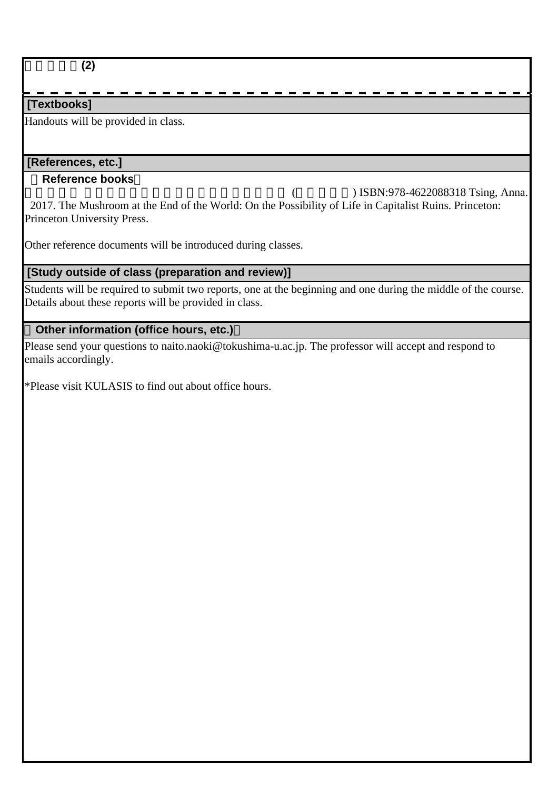## **[Textbooks]**

Handouts will be provided in class.

#### **[References, etc.]**

#### **Reference books**

 $($  FISBN:978-4622088318 Tsing, Anna. 2017. The Mushroom at the End of the World: On the Possibility of Life in Capitalist Ruins. Princeton: Princeton University Press.

Other reference documents will be introduced during classes.

## **[Study outside of class (preparation and review)]**

Students will be required to submit two reports, one at the beginning and one during the middle of the course. Details about these reports will be provided in class.

# **Other information (office hours, etc.)**

Please send your questions to naito.naoki@tokushima-u.ac.jp. The professor will accept and respond to emails accordingly.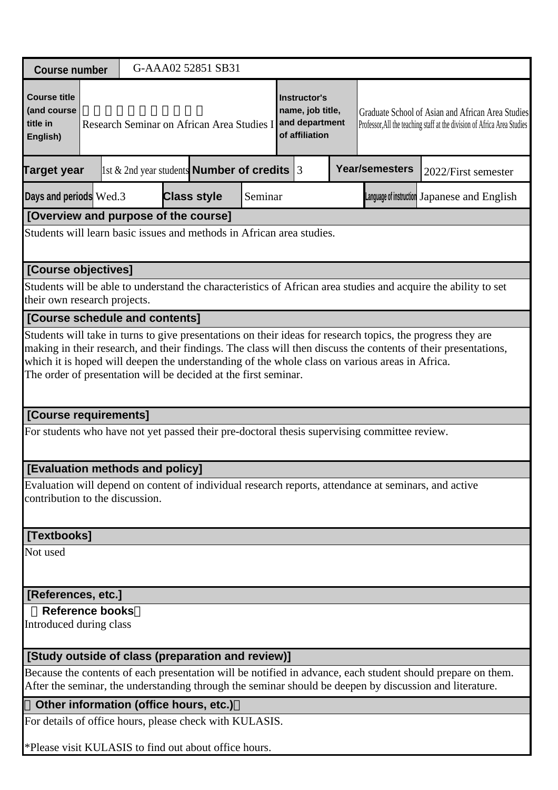| <b>Course number</b>                                                                                                                                                                                                                                                                                                                                                                               |                                                                                                                                                                                                                                                            |                                                        |                    | G-AAA02 52851 SB31 |         |  |  |  |                                                                                                      |                                                                                                                                                                                                                        |  |
|----------------------------------------------------------------------------------------------------------------------------------------------------------------------------------------------------------------------------------------------------------------------------------------------------------------------------------------------------------------------------------------------------|------------------------------------------------------------------------------------------------------------------------------------------------------------------------------------------------------------------------------------------------------------|--------------------------------------------------------|--------------------|--------------------|---------|--|--|--|------------------------------------------------------------------------------------------------------|------------------------------------------------------------------------------------------------------------------------------------------------------------------------------------------------------------------------|--|
| <b>Course title</b><br>(and course<br>title in<br>English)                                                                                                                                                                                                                                                                                                                                         | <b>Instructor's</b><br>name, job title,<br>Graduate School of Asian and African Area Studies<br>and department<br>Research Seminar on African Area Studies I<br>Professor, All the teaching staff at the division of Africa Area Studies<br>of affiliation |                                                        |                    |                    |         |  |  |  |                                                                                                      |                                                                                                                                                                                                                        |  |
| Target year                                                                                                                                                                                                                                                                                                                                                                                        |                                                                                                                                                                                                                                                            | 1st & 2nd year students <b>Number of credits</b> $ 3 $ |                    |                    |         |  |  |  | <b>Year/semesters</b>                                                                                | 2022/First semester                                                                                                                                                                                                    |  |
| Days and periods Wed.3                                                                                                                                                                                                                                                                                                                                                                             |                                                                                                                                                                                                                                                            |                                                        | <b>Class style</b> |                    | Seminar |  |  |  |                                                                                                      | Language of instruction Japanese and English                                                                                                                                                                           |  |
| [Overview and purpose of the course]                                                                                                                                                                                                                                                                                                                                                               |                                                                                                                                                                                                                                                            |                                                        |                    |                    |         |  |  |  |                                                                                                      |                                                                                                                                                                                                                        |  |
| Students will learn basic issues and methods in African area studies.                                                                                                                                                                                                                                                                                                                              |                                                                                                                                                                                                                                                            |                                                        |                    |                    |         |  |  |  |                                                                                                      |                                                                                                                                                                                                                        |  |
| [Course objectives]                                                                                                                                                                                                                                                                                                                                                                                |                                                                                                                                                                                                                                                            |                                                        |                    |                    |         |  |  |  |                                                                                                      |                                                                                                                                                                                                                        |  |
| their own research projects.                                                                                                                                                                                                                                                                                                                                                                       |                                                                                                                                                                                                                                                            |                                                        |                    |                    |         |  |  |  |                                                                                                      | Students will be able to understand the characteristics of African area studies and acquire the ability to set                                                                                                         |  |
| [Course schedule and contents]                                                                                                                                                                                                                                                                                                                                                                     |                                                                                                                                                                                                                                                            |                                                        |                    |                    |         |  |  |  |                                                                                                      |                                                                                                                                                                                                                        |  |
| Students will take in turns to give presentations on their ideas for research topics, the progress they are<br>making in their research, and their findings. The class will then discuss the contents of their presentations,<br>which it is hoped will deepen the understanding of the whole class on various areas in Africa.<br>The order of presentation will be decided at the first seminar. |                                                                                                                                                                                                                                                            |                                                        |                    |                    |         |  |  |  |                                                                                                      |                                                                                                                                                                                                                        |  |
|                                                                                                                                                                                                                                                                                                                                                                                                    | [Course requirements]                                                                                                                                                                                                                                      |                                                        |                    |                    |         |  |  |  |                                                                                                      |                                                                                                                                                                                                                        |  |
|                                                                                                                                                                                                                                                                                                                                                                                                    |                                                                                                                                                                                                                                                            |                                                        |                    |                    |         |  |  |  | For students who have not yet passed their pre-doctoral thesis supervising committee review.         |                                                                                                                                                                                                                        |  |
| [Evaluation methods and policy]                                                                                                                                                                                                                                                                                                                                                                    |                                                                                                                                                                                                                                                            |                                                        |                    |                    |         |  |  |  |                                                                                                      |                                                                                                                                                                                                                        |  |
| contribution to the discussion.                                                                                                                                                                                                                                                                                                                                                                    |                                                                                                                                                                                                                                                            |                                                        |                    |                    |         |  |  |  | Evaluation will depend on content of individual research reports, attendance at seminars, and active |                                                                                                                                                                                                                        |  |
| [Textbooks]                                                                                                                                                                                                                                                                                                                                                                                        |                                                                                                                                                                                                                                                            |                                                        |                    |                    |         |  |  |  |                                                                                                      |                                                                                                                                                                                                                        |  |
| Not used                                                                                                                                                                                                                                                                                                                                                                                           |                                                                                                                                                                                                                                                            |                                                        |                    |                    |         |  |  |  |                                                                                                      |                                                                                                                                                                                                                        |  |
| [References, etc.]                                                                                                                                                                                                                                                                                                                                                                                 |                                                                                                                                                                                                                                                            |                                                        |                    |                    |         |  |  |  |                                                                                                      |                                                                                                                                                                                                                        |  |
| <b>Reference books</b><br>Introduced during class                                                                                                                                                                                                                                                                                                                                                  |                                                                                                                                                                                                                                                            |                                                        |                    |                    |         |  |  |  |                                                                                                      |                                                                                                                                                                                                                        |  |
| [Study outside of class (preparation and review)]                                                                                                                                                                                                                                                                                                                                                  |                                                                                                                                                                                                                                                            |                                                        |                    |                    |         |  |  |  |                                                                                                      |                                                                                                                                                                                                                        |  |
|                                                                                                                                                                                                                                                                                                                                                                                                    |                                                                                                                                                                                                                                                            |                                                        |                    |                    |         |  |  |  |                                                                                                      | Because the contents of each presentation will be notified in advance, each student should prepare on them.<br>After the seminar, the understanding through the seminar should be deepen by discussion and literature. |  |
|                                                                                                                                                                                                                                                                                                                                                                                                    |                                                                                                                                                                                                                                                            |                                                        |                    |                    |         |  |  |  |                                                                                                      |                                                                                                                                                                                                                        |  |
|                                                                                                                                                                                                                                                                                                                                                                                                    | Other information (office hours, etc.)<br>For details of office hours, please check with KULASIS.                                                                                                                                                          |                                                        |                    |                    |         |  |  |  |                                                                                                      |                                                                                                                                                                                                                        |  |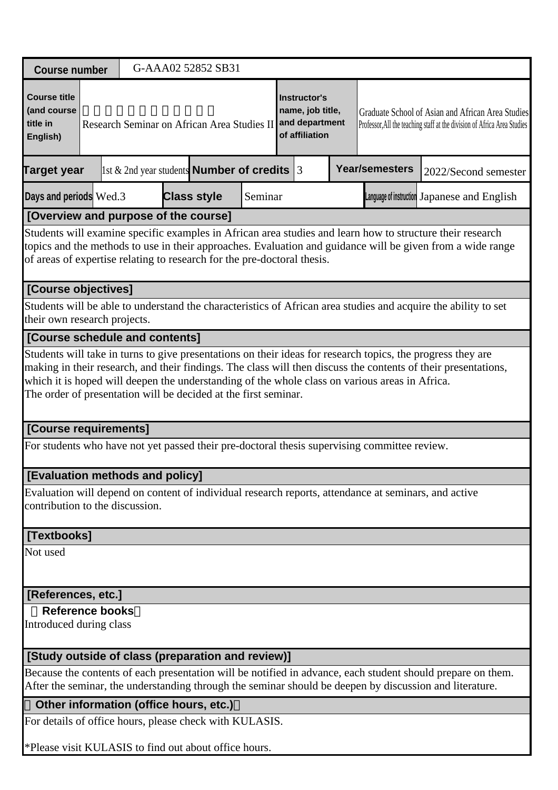| <b>Course number</b>                                                                                                                                                                                                                                                                                                                                                                               |                                                                                                 |  |  |  |  | G-AAA02 52852 SB31 |         |  |                                                                      |  |                                                                                              |                                                                                                                                                                                                                        |
|----------------------------------------------------------------------------------------------------------------------------------------------------------------------------------------------------------------------------------------------------------------------------------------------------------------------------------------------------------------------------------------------------|-------------------------------------------------------------------------------------------------|--|--|--|--|--------------------|---------|--|----------------------------------------------------------------------|--|----------------------------------------------------------------------------------------------|------------------------------------------------------------------------------------------------------------------------------------------------------------------------------------------------------------------------|
| <b>Course title</b><br>(and course<br>title in<br>English)                                                                                                                                                                                                                                                                                                                                         | Research Seminar on African Area Studies II<br>1st & 2nd year students <b>Number of credits</b> |  |  |  |  |                    |         |  | Instructor's<br>name, job title,<br>and department<br>of affiliation |  |                                                                                              | Graduate School of Asian and African Area Studies<br>Professor, All the teaching staff at the division of Africa Area Studies                                                                                          |
| <b>Target year</b>                                                                                                                                                                                                                                                                                                                                                                                 |                                                                                                 |  |  |  |  |                    |         |  | 13                                                                   |  | <b>Year/semesters</b>                                                                        | 2022/Second semester                                                                                                                                                                                                   |
| Days and periods Wed.3                                                                                                                                                                                                                                                                                                                                                                             |                                                                                                 |  |  |  |  | <b>Class style</b> | Seminar |  |                                                                      |  |                                                                                              | Language of instruction Japanese and English                                                                                                                                                                           |
| [Overview and purpose of the course]                                                                                                                                                                                                                                                                                                                                                               |                                                                                                 |  |  |  |  |                    |         |  |                                                                      |  |                                                                                              |                                                                                                                                                                                                                        |
| Students will examine specific examples in African area studies and learn how to structure their research<br>topics and the methods to use in their approaches. Evaluation and guidance will be given from a wide range<br>of areas of expertise relating to research for the pre-doctoral thesis.                                                                                                 |                                                                                                 |  |  |  |  |                    |         |  |                                                                      |  |                                                                                              |                                                                                                                                                                                                                        |
| [Course objectives]                                                                                                                                                                                                                                                                                                                                                                                |                                                                                                 |  |  |  |  |                    |         |  |                                                                      |  |                                                                                              |                                                                                                                                                                                                                        |
| Students will be able to understand the characteristics of African area studies and acquire the ability to set<br>their own research projects.                                                                                                                                                                                                                                                     |                                                                                                 |  |  |  |  |                    |         |  |                                                                      |  |                                                                                              |                                                                                                                                                                                                                        |
| [Course schedule and contents]                                                                                                                                                                                                                                                                                                                                                                     |                                                                                                 |  |  |  |  |                    |         |  |                                                                      |  |                                                                                              |                                                                                                                                                                                                                        |
| Students will take in turns to give presentations on their ideas for research topics, the progress they are<br>making in their research, and their findings. The class will then discuss the contents of their presentations,<br>which it is hoped will deepen the understanding of the whole class on various areas in Africa.<br>The order of presentation will be decided at the first seminar. |                                                                                                 |  |  |  |  |                    |         |  |                                                                      |  |                                                                                              |                                                                                                                                                                                                                        |
| [Course requirements]                                                                                                                                                                                                                                                                                                                                                                              |                                                                                                 |  |  |  |  |                    |         |  |                                                                      |  |                                                                                              |                                                                                                                                                                                                                        |
|                                                                                                                                                                                                                                                                                                                                                                                                    |                                                                                                 |  |  |  |  |                    |         |  |                                                                      |  | For students who have not yet passed their pre-doctoral thesis supervising committee review. |                                                                                                                                                                                                                        |
| [Evaluation methods and policy]                                                                                                                                                                                                                                                                                                                                                                    |                                                                                                 |  |  |  |  |                    |         |  |                                                                      |  |                                                                                              |                                                                                                                                                                                                                        |
| contribution to the discussion.                                                                                                                                                                                                                                                                                                                                                                    |                                                                                                 |  |  |  |  |                    |         |  |                                                                      |  |                                                                                              | Evaluation will depend on content of individual research reports, attendance at seminars, and active                                                                                                                   |
| [Textbooks]                                                                                                                                                                                                                                                                                                                                                                                        |                                                                                                 |  |  |  |  |                    |         |  |                                                                      |  |                                                                                              |                                                                                                                                                                                                                        |
| Not used                                                                                                                                                                                                                                                                                                                                                                                           |                                                                                                 |  |  |  |  |                    |         |  |                                                                      |  |                                                                                              |                                                                                                                                                                                                                        |
| [References, etc.]                                                                                                                                                                                                                                                                                                                                                                                 |                                                                                                 |  |  |  |  |                    |         |  |                                                                      |  |                                                                                              |                                                                                                                                                                                                                        |
| <b>Reference books</b><br>Introduced during class                                                                                                                                                                                                                                                                                                                                                  |                                                                                                 |  |  |  |  |                    |         |  |                                                                      |  |                                                                                              |                                                                                                                                                                                                                        |
| [Study outside of class (preparation and review)]                                                                                                                                                                                                                                                                                                                                                  |                                                                                                 |  |  |  |  |                    |         |  |                                                                      |  |                                                                                              |                                                                                                                                                                                                                        |
|                                                                                                                                                                                                                                                                                                                                                                                                    |                                                                                                 |  |  |  |  |                    |         |  |                                                                      |  |                                                                                              | Because the contents of each presentation will be notified in advance, each student should prepare on them.<br>After the seminar, the understanding through the seminar should be deepen by discussion and literature. |
|                                                                                                                                                                                                                                                                                                                                                                                                    |                                                                                                 |  |  |  |  |                    |         |  |                                                                      |  |                                                                                              |                                                                                                                                                                                                                        |

#### **Other information (office hours, etc.)**

For details of office hours, please check with KULASIS.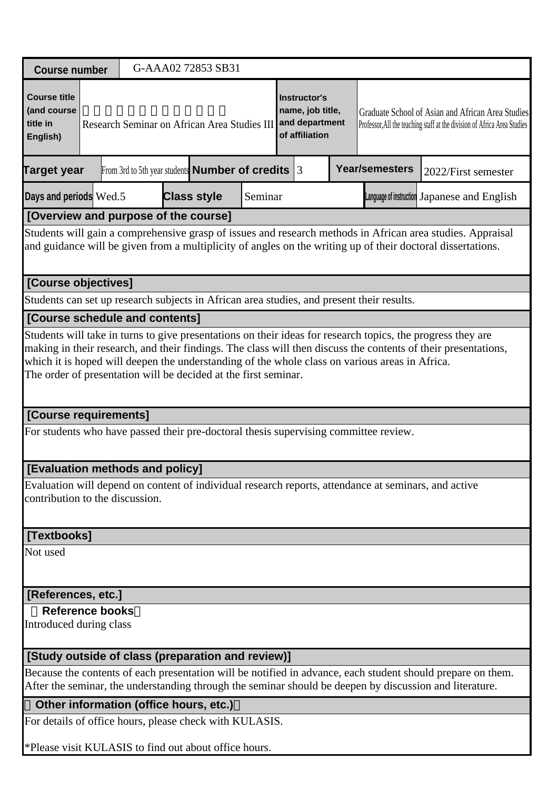| <b>Course number</b>                                                                                                                                                                                                                                                                                                                                                                               |  |                                                                                                                                                                                                                                                              | G-AAA02 72853 SB31 |  |         |  |  |  |                                                                                                      |                                                                                                                                                                                                                        |
|----------------------------------------------------------------------------------------------------------------------------------------------------------------------------------------------------------------------------------------------------------------------------------------------------------------------------------------------------------------------------------------------------|--|--------------------------------------------------------------------------------------------------------------------------------------------------------------------------------------------------------------------------------------------------------------|--------------------|--|---------|--|--|--|------------------------------------------------------------------------------------------------------|------------------------------------------------------------------------------------------------------------------------------------------------------------------------------------------------------------------------|
| <b>Course title</b><br>(and course<br>title in<br>English)                                                                                                                                                                                                                                                                                                                                         |  | <b>Instructor's</b><br>name, job title,<br>Graduate School of Asian and African Area Studies<br>and department<br>Research Seminar on African Area Studies III<br>Professor, All the teaching staff at the division of Africa Area Studies<br>of affiliation |                    |  |         |  |  |  |                                                                                                      |                                                                                                                                                                                                                        |
| <b>Target year</b>                                                                                                                                                                                                                                                                                                                                                                                 |  | From 3rd to 5th year students <b>Number of credits</b> $ 3 $                                                                                                                                                                                                 |                    |  |         |  |  |  | <b>Year/semesters</b>                                                                                | 2022/First semester                                                                                                                                                                                                    |
| Days and periods Wed.5                                                                                                                                                                                                                                                                                                                                                                             |  |                                                                                                                                                                                                                                                              | <b>Class style</b> |  | Seminar |  |  |  |                                                                                                      | Language of instruction Japanese and English                                                                                                                                                                           |
| [Overview and purpose of the course]                                                                                                                                                                                                                                                                                                                                                               |  |                                                                                                                                                                                                                                                              |                    |  |         |  |  |  |                                                                                                      |                                                                                                                                                                                                                        |
| Students will gain a comprehensive grasp of issues and research methods in African area studies. Appraisal<br>and guidance will be given from a multiplicity of angles on the writing up of their doctoral dissertations.                                                                                                                                                                          |  |                                                                                                                                                                                                                                                              |                    |  |         |  |  |  |                                                                                                      |                                                                                                                                                                                                                        |
| [Course objectives]                                                                                                                                                                                                                                                                                                                                                                                |  |                                                                                                                                                                                                                                                              |                    |  |         |  |  |  |                                                                                                      |                                                                                                                                                                                                                        |
| Students can set up research subjects in African area studies, and present their results.                                                                                                                                                                                                                                                                                                          |  |                                                                                                                                                                                                                                                              |                    |  |         |  |  |  |                                                                                                      |                                                                                                                                                                                                                        |
| [Course schedule and contents]                                                                                                                                                                                                                                                                                                                                                                     |  |                                                                                                                                                                                                                                                              |                    |  |         |  |  |  |                                                                                                      |                                                                                                                                                                                                                        |
| Students will take in turns to give presentations on their ideas for research topics, the progress they are<br>making in their research, and their findings. The class will then discuss the contents of their presentations,<br>which it is hoped will deepen the understanding of the whole class on various areas in Africa.<br>The order of presentation will be decided at the first seminar. |  |                                                                                                                                                                                                                                                              |                    |  |         |  |  |  |                                                                                                      |                                                                                                                                                                                                                        |
| [Course requirements]                                                                                                                                                                                                                                                                                                                                                                              |  |                                                                                                                                                                                                                                                              |                    |  |         |  |  |  |                                                                                                      |                                                                                                                                                                                                                        |
| For students who have passed their pre-doctoral thesis supervising committee review.                                                                                                                                                                                                                                                                                                               |  |                                                                                                                                                                                                                                                              |                    |  |         |  |  |  |                                                                                                      |                                                                                                                                                                                                                        |
| [Evaluation methods and policy]                                                                                                                                                                                                                                                                                                                                                                    |  |                                                                                                                                                                                                                                                              |                    |  |         |  |  |  |                                                                                                      |                                                                                                                                                                                                                        |
| contribution to the discussion.                                                                                                                                                                                                                                                                                                                                                                    |  |                                                                                                                                                                                                                                                              |                    |  |         |  |  |  | Evaluation will depend on content of individual research reports, attendance at seminars, and active |                                                                                                                                                                                                                        |
| [Textbooks]                                                                                                                                                                                                                                                                                                                                                                                        |  |                                                                                                                                                                                                                                                              |                    |  |         |  |  |  |                                                                                                      |                                                                                                                                                                                                                        |
| Not used                                                                                                                                                                                                                                                                                                                                                                                           |  |                                                                                                                                                                                                                                                              |                    |  |         |  |  |  |                                                                                                      |                                                                                                                                                                                                                        |
| [References, etc.]                                                                                                                                                                                                                                                                                                                                                                                 |  |                                                                                                                                                                                                                                                              |                    |  |         |  |  |  |                                                                                                      |                                                                                                                                                                                                                        |
| <b>Reference books</b><br>Introduced during class                                                                                                                                                                                                                                                                                                                                                  |  |                                                                                                                                                                                                                                                              |                    |  |         |  |  |  |                                                                                                      |                                                                                                                                                                                                                        |
| [Study outside of class (preparation and review)]                                                                                                                                                                                                                                                                                                                                                  |  |                                                                                                                                                                                                                                                              |                    |  |         |  |  |  |                                                                                                      |                                                                                                                                                                                                                        |
|                                                                                                                                                                                                                                                                                                                                                                                                    |  |                                                                                                                                                                                                                                                              |                    |  |         |  |  |  |                                                                                                      | Because the contents of each presentation will be notified in advance, each student should prepare on them.<br>After the seminar, the understanding through the seminar should be deepen by discussion and literature. |
| Other information (office hours, etc.)                                                                                                                                                                                                                                                                                                                                                             |  |                                                                                                                                                                                                                                                              |                    |  |         |  |  |  |                                                                                                      |                                                                                                                                                                                                                        |
| For details of office hours, please check with KULASIS.                                                                                                                                                                                                                                                                                                                                            |  |                                                                                                                                                                                                                                                              |                    |  |         |  |  |  |                                                                                                      |                                                                                                                                                                                                                        |
| Please visit KULASIS to find out about office hours.                                                                                                                                                                                                                                                                                                                                               |  |                                                                                                                                                                                                                                                              |                    |  |         |  |  |  |                                                                                                      |                                                                                                                                                                                                                        |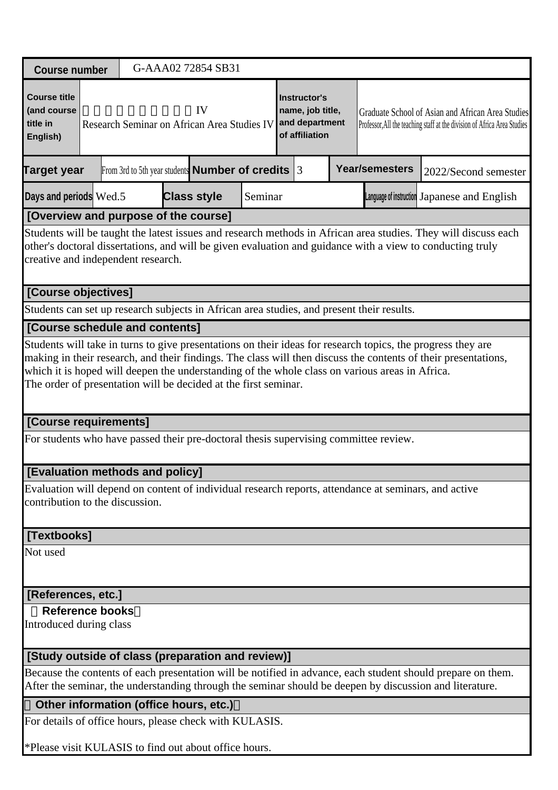| <b>Course number</b>                                                                                                                                                                                                                                                                |                                                                                                               |  |  | G-AAA02 72854 SB31 |         |  |                                                                      |  |                                                                                                      |                                                                                                                               |  |
|-------------------------------------------------------------------------------------------------------------------------------------------------------------------------------------------------------------------------------------------------------------------------------------|---------------------------------------------------------------------------------------------------------------|--|--|--------------------|---------|--|----------------------------------------------------------------------|--|------------------------------------------------------------------------------------------------------|-------------------------------------------------------------------------------------------------------------------------------|--|
|                                                                                                                                                                                                                                                                                     |                                                                                                               |  |  |                    |         |  |                                                                      |  |                                                                                                      |                                                                                                                               |  |
| <b>Course title</b><br>(and course<br>title in<br>English)                                                                                                                                                                                                                          | IV<br>Research Seminar on African Area Studies IV<br>From 3rd to 5th year students <b>Number of credits</b> 3 |  |  |                    |         |  | Instructor's<br>name, job title,<br>and department<br>of affiliation |  |                                                                                                      | Graduate School of Asian and African Area Studies<br>Professor, All the teaching staff at the division of Africa Area Studies |  |
| Target year                                                                                                                                                                                                                                                                         |                                                                                                               |  |  |                    |         |  |                                                                      |  | <b>Year/semesters</b>                                                                                | 2022/Second semester                                                                                                          |  |
| Days and periods Wed.5                                                                                                                                                                                                                                                              |                                                                                                               |  |  | <b>Class style</b> | Seminar |  |                                                                      |  |                                                                                                      | Language of instruction Japanese and English                                                                                  |  |
| [Overview and purpose of the course]                                                                                                                                                                                                                                                |                                                                                                               |  |  |                    |         |  |                                                                      |  |                                                                                                      |                                                                                                                               |  |
| Students will be taught the latest issues and research methods in African area studies. They will discuss each<br>other's doctoral dissertations, and will be given evaluation and guidance with a view to conducting truly<br>creative and independent research.                   |                                                                                                               |  |  |                    |         |  |                                                                      |  |                                                                                                      |                                                                                                                               |  |
|                                                                                                                                                                                                                                                                                     | [Course objectives]                                                                                           |  |  |                    |         |  |                                                                      |  |                                                                                                      |                                                                                                                               |  |
|                                                                                                                                                                                                                                                                                     |                                                                                                               |  |  |                    |         |  |                                                                      |  | Students can set up research subjects in African area studies, and present their results.            |                                                                                                                               |  |
|                                                                                                                                                                                                                                                                                     | [Course schedule and contents]                                                                                |  |  |                    |         |  |                                                                      |  |                                                                                                      |                                                                                                                               |  |
| making in their research, and their findings. The class will then discuss the contents of their presentations,<br>which it is hoped will deepen the understanding of the whole class on various areas in Africa.<br>The order of presentation will be decided at the first seminar. |                                                                                                               |  |  |                    |         |  |                                                                      |  |                                                                                                      |                                                                                                                               |  |
| [Course requirements]                                                                                                                                                                                                                                                               |                                                                                                               |  |  |                    |         |  |                                                                      |  |                                                                                                      |                                                                                                                               |  |
|                                                                                                                                                                                                                                                                                     |                                                                                                               |  |  |                    |         |  |                                                                      |  | For students who have passed their pre-doctoral thesis supervising committee review.                 |                                                                                                                               |  |
| [Evaluation methods and policy]                                                                                                                                                                                                                                                     |                                                                                                               |  |  |                    |         |  |                                                                      |  |                                                                                                      |                                                                                                                               |  |
| contribution to the discussion.                                                                                                                                                                                                                                                     |                                                                                                               |  |  |                    |         |  |                                                                      |  | Evaluation will depend on content of individual research reports, attendance at seminars, and active |                                                                                                                               |  |
| [Textbooks]                                                                                                                                                                                                                                                                         |                                                                                                               |  |  |                    |         |  |                                                                      |  |                                                                                                      |                                                                                                                               |  |
| Not used                                                                                                                                                                                                                                                                            |                                                                                                               |  |  |                    |         |  |                                                                      |  |                                                                                                      |                                                                                                                               |  |
| [References, etc.]                                                                                                                                                                                                                                                                  |                                                                                                               |  |  |                    |         |  |                                                                      |  |                                                                                                      |                                                                                                                               |  |
| <b>Reference books</b><br>Introduced during class                                                                                                                                                                                                                                   |                                                                                                               |  |  |                    |         |  |                                                                      |  |                                                                                                      |                                                                                                                               |  |
| [Study outside of class (preparation and review)]                                                                                                                                                                                                                                   |                                                                                                               |  |  |                    |         |  |                                                                      |  |                                                                                                      |                                                                                                                               |  |
| Because the contents of each presentation will be notified in advance, each student should prepare on them.<br>After the seminar, the understanding through the seminar should be deepen by discussion and literature.                                                              |                                                                                                               |  |  |                    |         |  |                                                                      |  |                                                                                                      |                                                                                                                               |  |
|                                                                                                                                                                                                                                                                                     |                                                                                                               |  |  |                    |         |  |                                                                      |  |                                                                                                      |                                                                                                                               |  |
| Other information (office hours, etc.)<br>For details of office hours, please check with KULASIS.                                                                                                                                                                                   |                                                                                                               |  |  |                    |         |  |                                                                      |  |                                                                                                      |                                                                                                                               |  |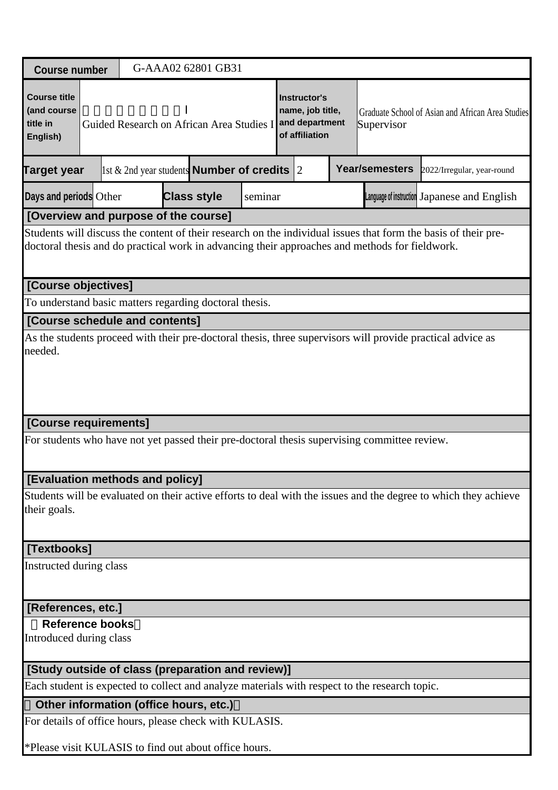|                                                                                                                                                                                                                  | G-AAA02 62801 GB31<br><b>Course number</b>        |                                 |                                                                                              |         |                                                                      |                                                   |                       |                                                                                                                 |  |  |  |  |
|------------------------------------------------------------------------------------------------------------------------------------------------------------------------------------------------------------------|---------------------------------------------------|---------------------------------|----------------------------------------------------------------------------------------------|---------|----------------------------------------------------------------------|---------------------------------------------------|-----------------------|-----------------------------------------------------------------------------------------------------------------|--|--|--|--|
| <b>Course title</b><br>(and course<br>title in<br>English)                                                                                                                                                       |                                                   |                                 | Guided Research on African Area Studies I                                                    |         | Instructor's<br>name, job title,<br>and department<br>of affiliation | Graduate School of Asian and African Area Studies |                       |                                                                                                                 |  |  |  |  |
| <b>Target year</b>                                                                                                                                                                                               |                                                   |                                 | 1st & 2nd year students <b>Number of credits</b> 2                                           |         |                                                                      |                                                   | <b>Year/semesters</b> | 2022/Irregular, year-round                                                                                      |  |  |  |  |
| Days and periods Other                                                                                                                                                                                           |                                                   |                                 | <b>Class style</b>                                                                           | seminar |                                                                      |                                                   |                       | Language of instruction Japanese and English                                                                    |  |  |  |  |
|                                                                                                                                                                                                                  | [Overview and purpose of the course]              |                                 |                                                                                              |         |                                                                      |                                                   |                       |                                                                                                                 |  |  |  |  |
| Students will discuss the content of their research on the individual issues that form the basis of their pre-<br>doctoral thesis and do practical work in advancing their approaches and methods for fieldwork. |                                                   |                                 |                                                                                              |         |                                                                      |                                                   |                       |                                                                                                                 |  |  |  |  |
| [Course objectives]                                                                                                                                                                                              |                                                   |                                 |                                                                                              |         |                                                                      |                                                   |                       |                                                                                                                 |  |  |  |  |
|                                                                                                                                                                                                                  |                                                   |                                 | To understand basic matters regarding doctoral thesis.                                       |         |                                                                      |                                                   |                       |                                                                                                                 |  |  |  |  |
|                                                                                                                                                                                                                  |                                                   | [Course schedule and contents]  |                                                                                              |         |                                                                      |                                                   |                       |                                                                                                                 |  |  |  |  |
| As the students proceed with their pre-doctoral thesis, three supervisors will provide practical advice as<br>needed.                                                                                            |                                                   |                                 |                                                                                              |         |                                                                      |                                                   |                       |                                                                                                                 |  |  |  |  |
| [Course requirements]                                                                                                                                                                                            |                                                   |                                 |                                                                                              |         |                                                                      |                                                   |                       |                                                                                                                 |  |  |  |  |
|                                                                                                                                                                                                                  |                                                   |                                 | For students who have not yet passed their pre-doctoral thesis supervising committee review. |         |                                                                      |                                                   |                       |                                                                                                                 |  |  |  |  |
|                                                                                                                                                                                                                  |                                                   | [Evaluation methods and policy] |                                                                                              |         |                                                                      |                                                   |                       |                                                                                                                 |  |  |  |  |
| their goals.                                                                                                                                                                                                     |                                                   |                                 |                                                                                              |         |                                                                      |                                                   |                       | Students will be evaluated on their active efforts to deal with the issues and the degree to which they achieve |  |  |  |  |
| [Textbooks]                                                                                                                                                                                                      |                                                   |                                 |                                                                                              |         |                                                                      |                                                   |                       |                                                                                                                 |  |  |  |  |
| Instructed during class                                                                                                                                                                                          |                                                   |                                 |                                                                                              |         |                                                                      |                                                   |                       |                                                                                                                 |  |  |  |  |
| [References, etc.]                                                                                                                                                                                               |                                                   |                                 |                                                                                              |         |                                                                      |                                                   |                       |                                                                                                                 |  |  |  |  |
|                                                                                                                                                                                                                  | <b>Reference books</b><br>Introduced during class |                                 |                                                                                              |         |                                                                      |                                                   |                       |                                                                                                                 |  |  |  |  |
|                                                                                                                                                                                                                  |                                                   |                                 | [Study outside of class (preparation and review)]                                            |         |                                                                      |                                                   |                       |                                                                                                                 |  |  |  |  |
| Each student is expected to collect and analyze materials with respect to the research topic.                                                                                                                    |                                                   |                                 |                                                                                              |         |                                                                      |                                                   |                       |                                                                                                                 |  |  |  |  |
|                                                                                                                                                                                                                  | Other information (office hours, etc.)            |                                 |                                                                                              |         |                                                                      |                                                   |                       |                                                                                                                 |  |  |  |  |
|                                                                                                                                                                                                                  |                                                   |                                 |                                                                                              |         |                                                                      |                                                   |                       |                                                                                                                 |  |  |  |  |
| For details of office hours, please check with KULASIS.                                                                                                                                                          |                                                   |                                 |                                                                                              |         |                                                                      |                                                   |                       |                                                                                                                 |  |  |  |  |

J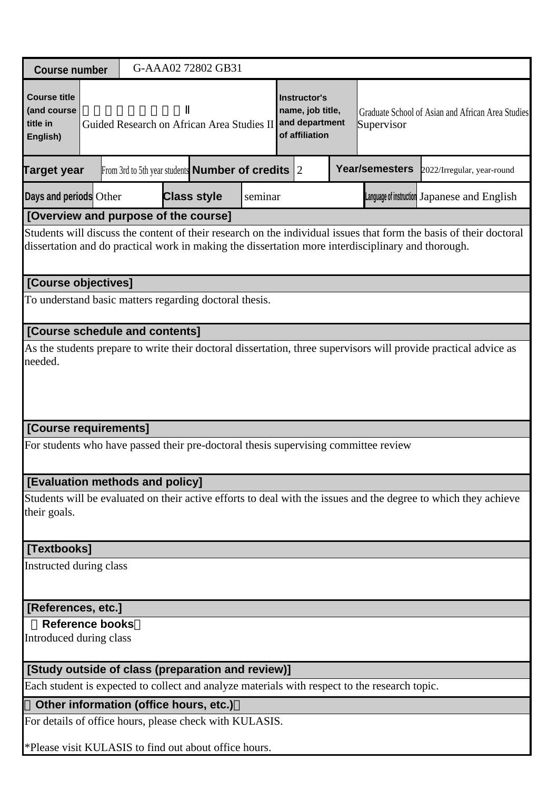| <b>Course number</b>                                                                                                                                                                                                     |  |                                                                                                                                                                                       | G-AAA02 72802 GB31                                                                            |         |  |  |                |                                                                                                                 |  |  |
|--------------------------------------------------------------------------------------------------------------------------------------------------------------------------------------------------------------------------|--|---------------------------------------------------------------------------------------------------------------------------------------------------------------------------------------|-----------------------------------------------------------------------------------------------|---------|--|--|----------------|-----------------------------------------------------------------------------------------------------------------|--|--|
| <b>Course title</b><br>(and course<br>title in<br>English)                                                                                                                                                               |  | Instructor's<br>name, job title,<br>Graduate School of Asian and African Area Studies<br>and department<br>Guided Research on African Area Studies II<br>Supervisor<br>of affiliation |                                                                                               |         |  |  |                |                                                                                                                 |  |  |
| Target year                                                                                                                                                                                                              |  |                                                                                                                                                                                       | From 3rd to 5th year students <b>Number of credits</b> $ 2 $                                  |         |  |  | Year/semesters | 2022/Irregular, year-round                                                                                      |  |  |
| Days and periods Other                                                                                                                                                                                                   |  |                                                                                                                                                                                       | <b>Class style</b>                                                                            | seminar |  |  |                | Language of instruction Japanese and English                                                                    |  |  |
| [Overview and purpose of the course]                                                                                                                                                                                     |  |                                                                                                                                                                                       |                                                                                               |         |  |  |                |                                                                                                                 |  |  |
| Students will discuss the content of their research on the individual issues that form the basis of their doctoral<br>dissertation and do practical work in making the dissertation more interdisciplinary and thorough. |  |                                                                                                                                                                                       |                                                                                               |         |  |  |                |                                                                                                                 |  |  |
| [Course objectives]                                                                                                                                                                                                      |  |                                                                                                                                                                                       |                                                                                               |         |  |  |                |                                                                                                                 |  |  |
|                                                                                                                                                                                                                          |  |                                                                                                                                                                                       | To understand basic matters regarding doctoral thesis.                                        |         |  |  |                |                                                                                                                 |  |  |
| [Course schedule and contents]                                                                                                                                                                                           |  |                                                                                                                                                                                       |                                                                                               |         |  |  |                |                                                                                                                 |  |  |
| As the students prepare to write their doctoral dissertation, three supervisors will provide practical advice as<br>needed.                                                                                              |  |                                                                                                                                                                                       |                                                                                               |         |  |  |                |                                                                                                                 |  |  |
| [Course requirements]                                                                                                                                                                                                    |  |                                                                                                                                                                                       |                                                                                               |         |  |  |                |                                                                                                                 |  |  |
|                                                                                                                                                                                                                          |  |                                                                                                                                                                                       | For students who have passed their pre-doctoral thesis supervising committee review           |         |  |  |                |                                                                                                                 |  |  |
| [Evaluation methods and policy]                                                                                                                                                                                          |  |                                                                                                                                                                                       |                                                                                               |         |  |  |                |                                                                                                                 |  |  |
| their goals.                                                                                                                                                                                                             |  |                                                                                                                                                                                       |                                                                                               |         |  |  |                | Students will be evaluated on their active efforts to deal with the issues and the degree to which they achieve |  |  |
| [Textbooks]                                                                                                                                                                                                              |  |                                                                                                                                                                                       |                                                                                               |         |  |  |                |                                                                                                                 |  |  |
| Instructed during class                                                                                                                                                                                                  |  |                                                                                                                                                                                       |                                                                                               |         |  |  |                |                                                                                                                 |  |  |
| [References, etc.]                                                                                                                                                                                                       |  |                                                                                                                                                                                       |                                                                                               |         |  |  |                |                                                                                                                 |  |  |
| <b>Reference books</b><br>Introduced during class                                                                                                                                                                        |  |                                                                                                                                                                                       |                                                                                               |         |  |  |                |                                                                                                                 |  |  |
|                                                                                                                                                                                                                          |  |                                                                                                                                                                                       | [Study outside of class (preparation and review)]                                             |         |  |  |                |                                                                                                                 |  |  |
|                                                                                                                                                                                                                          |  |                                                                                                                                                                                       | Each student is expected to collect and analyze materials with respect to the research topic. |         |  |  |                |                                                                                                                 |  |  |
|                                                                                                                                                                                                                          |  |                                                                                                                                                                                       | Other information (office hours, etc.)                                                        |         |  |  |                |                                                                                                                 |  |  |
|                                                                                                                                                                                                                          |  |                                                                                                                                                                                       | For details of office hours, please check with KULASIS.                                       |         |  |  |                |                                                                                                                 |  |  |
|                                                                                                                                                                                                                          |  |                                                                                                                                                                                       | *Please visit KULASIS to find out about office hours.                                         |         |  |  |                |                                                                                                                 |  |  |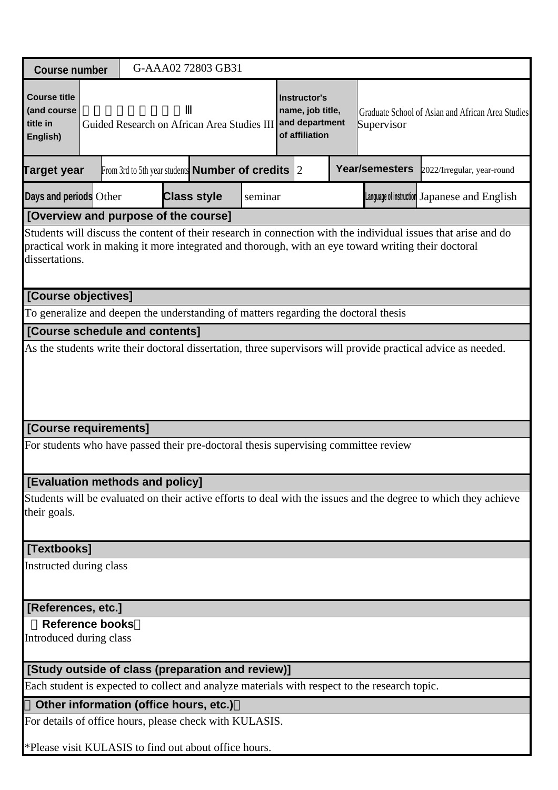|                                                                                                                                                                                                                                         | G-AAA02 72803 GB31<br><b>Course number</b> |  |                                                                                               |         |                                                                      |                                                   |                |                                                                                                                 |  |  |  |  |
|-----------------------------------------------------------------------------------------------------------------------------------------------------------------------------------------------------------------------------------------|--------------------------------------------|--|-----------------------------------------------------------------------------------------------|---------|----------------------------------------------------------------------|---------------------------------------------------|----------------|-----------------------------------------------------------------------------------------------------------------|--|--|--|--|
| <b>Course title</b><br>(and course<br>title in<br>English)                                                                                                                                                                              |                                            |  | Guided Research on African Area Studies III                                                   |         | Instructor's<br>name, job title,<br>and department<br>of affiliation | Graduate School of Asian and African Area Studies |                |                                                                                                                 |  |  |  |  |
| <b>Target year</b>                                                                                                                                                                                                                      |                                            |  | From 3rd to 5th year students <b>Number of credits</b> $ 2 $                                  |         |                                                                      |                                                   | Year/semesters | 2022/Irregular, year-round                                                                                      |  |  |  |  |
| Days and periods Other                                                                                                                                                                                                                  |                                            |  | <b>Class style</b>                                                                            | seminar |                                                                      |                                                   |                | Language of instruction Japanese and English                                                                    |  |  |  |  |
| [Overview and purpose of the course]                                                                                                                                                                                                    |                                            |  |                                                                                               |         |                                                                      |                                                   |                |                                                                                                                 |  |  |  |  |
| Students will discuss the content of their research in connection with the individual issues that arise and do<br>practical work in making it more integrated and thorough, with an eye toward writing their doctoral<br>dissertations. |                                            |  |                                                                                               |         |                                                                      |                                                   |                |                                                                                                                 |  |  |  |  |
| [Course objectives]                                                                                                                                                                                                                     |                                            |  |                                                                                               |         |                                                                      |                                                   |                |                                                                                                                 |  |  |  |  |
|                                                                                                                                                                                                                                         |                                            |  | To generalize and deepen the understanding of matters regarding the doctoral thesis           |         |                                                                      |                                                   |                |                                                                                                                 |  |  |  |  |
| [Course schedule and contents]                                                                                                                                                                                                          |                                            |  |                                                                                               |         |                                                                      |                                                   |                |                                                                                                                 |  |  |  |  |
| As the students write their doctoral dissertation, three supervisors will provide practical advice as needed.                                                                                                                           |                                            |  |                                                                                               |         |                                                                      |                                                   |                |                                                                                                                 |  |  |  |  |
| [Course requirements]                                                                                                                                                                                                                   |                                            |  |                                                                                               |         |                                                                      |                                                   |                |                                                                                                                 |  |  |  |  |
|                                                                                                                                                                                                                                         |                                            |  | For students who have passed their pre-doctoral thesis supervising committee review           |         |                                                                      |                                                   |                |                                                                                                                 |  |  |  |  |
| [Evaluation methods and policy]                                                                                                                                                                                                         |                                            |  |                                                                                               |         |                                                                      |                                                   |                |                                                                                                                 |  |  |  |  |
| their goals.                                                                                                                                                                                                                            |                                            |  |                                                                                               |         |                                                                      |                                                   |                | Students will be evaluated on their active efforts to deal with the issues and the degree to which they achieve |  |  |  |  |
| [Textbooks]                                                                                                                                                                                                                             |                                            |  |                                                                                               |         |                                                                      |                                                   |                |                                                                                                                 |  |  |  |  |
| Instructed during class                                                                                                                                                                                                                 |                                            |  |                                                                                               |         |                                                                      |                                                   |                |                                                                                                                 |  |  |  |  |
| [References, etc.]                                                                                                                                                                                                                      |                                            |  |                                                                                               |         |                                                                      |                                                   |                |                                                                                                                 |  |  |  |  |
| <b>Reference books</b><br>Introduced during class                                                                                                                                                                                       |                                            |  |                                                                                               |         |                                                                      |                                                   |                |                                                                                                                 |  |  |  |  |
|                                                                                                                                                                                                                                         |                                            |  | [Study outside of class (preparation and review)]                                             |         |                                                                      |                                                   |                |                                                                                                                 |  |  |  |  |
|                                                                                                                                                                                                                                         |                                            |  | Each student is expected to collect and analyze materials with respect to the research topic. |         |                                                                      |                                                   |                |                                                                                                                 |  |  |  |  |
|                                                                                                                                                                                                                                         |                                            |  | Other information (office hours, etc.)                                                        |         |                                                                      |                                                   |                |                                                                                                                 |  |  |  |  |
|                                                                                                                                                                                                                                         |                                            |  | For details of office hours, please check with KULASIS.                                       |         |                                                                      |                                                   |                |                                                                                                                 |  |  |  |  |
|                                                                                                                                                                                                                                         |                                            |  | *Please visit KULASIS to find out about office hours.                                         |         |                                                                      |                                                   |                |                                                                                                                 |  |  |  |  |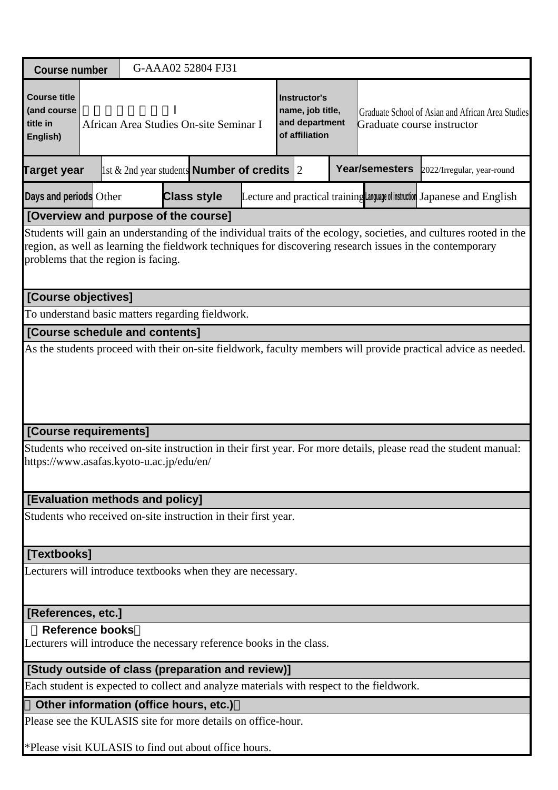| G-AAA02 52804 FJ31<br><b>Course number</b>                                                                                                                                                                                                                            |  |  |                                                                                          |  |                                                                                                                                                         |  |                       |                                                                                                                  |  |  |
|-----------------------------------------------------------------------------------------------------------------------------------------------------------------------------------------------------------------------------------------------------------------------|--|--|------------------------------------------------------------------------------------------|--|---------------------------------------------------------------------------------------------------------------------------------------------------------|--|-----------------------|------------------------------------------------------------------------------------------------------------------|--|--|
| <b>Course title</b><br>(and course<br>title in<br>English)                                                                                                                                                                                                            |  |  | African Area Studies On-site Seminar I                                                   |  | Instructor's<br>name, job title,<br>Graduate School of Asian and African Area Studies<br>and department<br>Graduate course instructor<br>of affiliation |  |                       |                                                                                                                  |  |  |
| <b>Target year</b>                                                                                                                                                                                                                                                    |  |  | $\vert$ 1st & 2nd year students <b>Number of credits</b> 2                               |  |                                                                                                                                                         |  | <b>Year/semesters</b> | 2022/Irregular, year-round                                                                                       |  |  |
| Days and periods Other                                                                                                                                                                                                                                                |  |  | <b>Class style</b>                                                                       |  |                                                                                                                                                         |  |                       | Lecture and practical training Language of instruction Japanese and English                                      |  |  |
| [Overview and purpose of the course]                                                                                                                                                                                                                                  |  |  |                                                                                          |  |                                                                                                                                                         |  |                       |                                                                                                                  |  |  |
| Students will gain an understanding of the individual traits of the ecology, societies, and cultures rooted in the<br>region, as well as learning the fieldwork techniques for discovering research issues in the contemporary<br>problems that the region is facing. |  |  |                                                                                          |  |                                                                                                                                                         |  |                       |                                                                                                                  |  |  |
| [Course objectives]                                                                                                                                                                                                                                                   |  |  |                                                                                          |  |                                                                                                                                                         |  |                       |                                                                                                                  |  |  |
|                                                                                                                                                                                                                                                                       |  |  | To understand basic matters regarding fieldwork.                                         |  |                                                                                                                                                         |  |                       |                                                                                                                  |  |  |
| [Course schedule and contents]                                                                                                                                                                                                                                        |  |  |                                                                                          |  |                                                                                                                                                         |  |                       |                                                                                                                  |  |  |
| As the students proceed with their on-site fieldwork, faculty members will provide practical advice as needed.                                                                                                                                                        |  |  |                                                                                          |  |                                                                                                                                                         |  |                       |                                                                                                                  |  |  |
| [Course requirements]                                                                                                                                                                                                                                                 |  |  |                                                                                          |  |                                                                                                                                                         |  |                       |                                                                                                                  |  |  |
| https://www.asafas.kyoto-u.ac.jp/edu/en/                                                                                                                                                                                                                              |  |  |                                                                                          |  |                                                                                                                                                         |  |                       | Students who received on-site instruction in their first year. For more details, please read the student manual: |  |  |
| [Evaluation methods and policy]                                                                                                                                                                                                                                       |  |  |                                                                                          |  |                                                                                                                                                         |  |                       |                                                                                                                  |  |  |
|                                                                                                                                                                                                                                                                       |  |  | Students who received on-site instruction in their first year.                           |  |                                                                                                                                                         |  |                       |                                                                                                                  |  |  |
| [Textbooks]                                                                                                                                                                                                                                                           |  |  |                                                                                          |  |                                                                                                                                                         |  |                       |                                                                                                                  |  |  |
|                                                                                                                                                                                                                                                                       |  |  | Lecturers will introduce textbooks when they are necessary.                              |  |                                                                                                                                                         |  |                       |                                                                                                                  |  |  |
| [References, etc.]                                                                                                                                                                                                                                                    |  |  |                                                                                          |  |                                                                                                                                                         |  |                       |                                                                                                                  |  |  |
| <b>Reference books</b>                                                                                                                                                                                                                                                |  |  | Lecturers will introduce the necessary reference books in the class.                     |  |                                                                                                                                                         |  |                       |                                                                                                                  |  |  |
|                                                                                                                                                                                                                                                                       |  |  | [Study outside of class (preparation and review)]                                        |  |                                                                                                                                                         |  |                       |                                                                                                                  |  |  |
|                                                                                                                                                                                                                                                                       |  |  | Each student is expected to collect and analyze materials with respect to the fieldwork. |  |                                                                                                                                                         |  |                       |                                                                                                                  |  |  |
|                                                                                                                                                                                                                                                                       |  |  | Other information (office hours, etc.)                                                   |  |                                                                                                                                                         |  |                       |                                                                                                                  |  |  |
|                                                                                                                                                                                                                                                                       |  |  | Please see the KULASIS site for more details on office-hour.                             |  |                                                                                                                                                         |  |                       |                                                                                                                  |  |  |
|                                                                                                                                                                                                                                                                       |  |  | *Please visit KULASIS to find out about office hours.                                    |  |                                                                                                                                                         |  |                       |                                                                                                                  |  |  |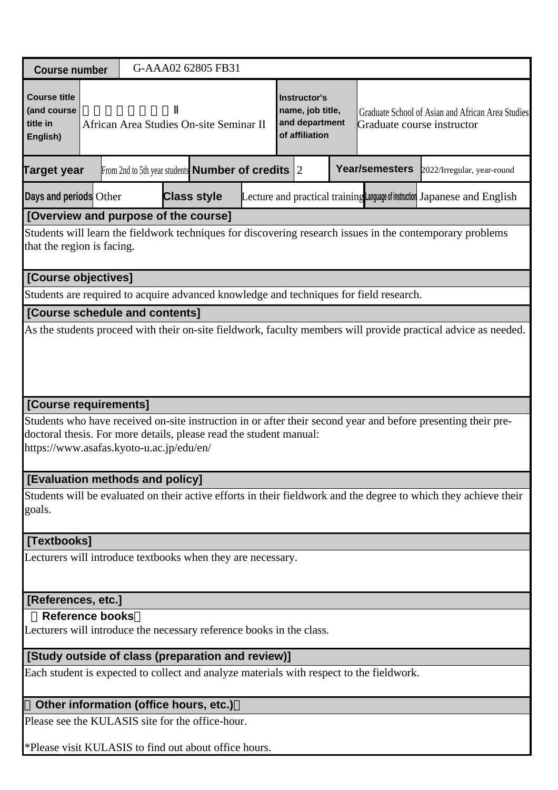|                                                                                                                                         | G-AAA02 62805 FB31<br><b>Course number</b> |                                         |                                                              |  |                                                                             |  |  |                                                                                 |                                                                                          |                                                                                                                  |  |
|-----------------------------------------------------------------------------------------------------------------------------------------|--------------------------------------------|-----------------------------------------|--------------------------------------------------------------|--|-----------------------------------------------------------------------------|--|--|---------------------------------------------------------------------------------|------------------------------------------------------------------------------------------|------------------------------------------------------------------------------------------------------------------|--|
| <b>Course title</b><br>(and course<br>title in<br>English)                                                                              |                                            | African Area Studies On-site Seminar II |                                                              |  | <b>Instructor's</b><br>name, job title,<br>and department<br>of affiliation |  |  | Graduate School of Asian and African Area Studies<br>Graduate course instructor |                                                                                          |                                                                                                                  |  |
| <b>Target year</b>                                                                                                                      |                                            |                                         | From 2nd to 5th year students <b>Number of credits</b> $ 2 $ |  |                                                                             |  |  |                                                                                 | Year/semesters                                                                           | 2022/Irregular, year-round                                                                                       |  |
| Days and periods Other                                                                                                                  |                                            |                                         | <b>Class style</b>                                           |  |                                                                             |  |  |                                                                                 |                                                                                          | Lecture and practical training Language of instruction Japanese and English                                      |  |
| [Overview and purpose of the course]                                                                                                    |                                            |                                         |                                                              |  |                                                                             |  |  |                                                                                 |                                                                                          |                                                                                                                  |  |
| Students will learn the fieldwork techniques for discovering research issues in the contemporary problems<br>that the region is facing. |                                            |                                         |                                                              |  |                                                                             |  |  |                                                                                 |                                                                                          |                                                                                                                  |  |
| [Course objectives]                                                                                                                     |                                            |                                         |                                                              |  |                                                                             |  |  |                                                                                 |                                                                                          |                                                                                                                  |  |
|                                                                                                                                         |                                            |                                         |                                                              |  |                                                                             |  |  |                                                                                 | Students are required to acquire advanced knowledge and techniques for field research.   |                                                                                                                  |  |
| [Course schedule and contents]                                                                                                          |                                            |                                         |                                                              |  |                                                                             |  |  |                                                                                 |                                                                                          |                                                                                                                  |  |
| As the students proceed with their on-site fieldwork, faculty members will provide practical advice as needed.                          |                                            |                                         |                                                              |  |                                                                             |  |  |                                                                                 |                                                                                          |                                                                                                                  |  |
| [Course requirements]                                                                                                                   |                                            |                                         |                                                              |  |                                                                             |  |  |                                                                                 |                                                                                          |                                                                                                                  |  |
| doctoral thesis. For more details, please read the student manual:<br>https://www.asafas.kyoto-u.ac.jp/edu/en/                          |                                            |                                         |                                                              |  |                                                                             |  |  |                                                                                 |                                                                                          | Students who have received on-site instruction in or after their second year and before presenting their pre-    |  |
| [Evaluation methods and policy]                                                                                                         |                                            |                                         |                                                              |  |                                                                             |  |  |                                                                                 |                                                                                          |                                                                                                                  |  |
| goals.                                                                                                                                  |                                            |                                         |                                                              |  |                                                                             |  |  |                                                                                 |                                                                                          | Students will be evaluated on their active efforts in their fieldwork and the degree to which they achieve their |  |
| [Textbooks]                                                                                                                             |                                            |                                         |                                                              |  |                                                                             |  |  |                                                                                 |                                                                                          |                                                                                                                  |  |
| Lecturers will introduce textbooks when they are necessary.                                                                             |                                            |                                         |                                                              |  |                                                                             |  |  |                                                                                 |                                                                                          |                                                                                                                  |  |
| [References, etc.]                                                                                                                      |                                            |                                         |                                                              |  |                                                                             |  |  |                                                                                 |                                                                                          |                                                                                                                  |  |
| <b>Reference books</b><br>Lecturers will introduce the necessary reference books in the class.                                          |                                            |                                         |                                                              |  |                                                                             |  |  |                                                                                 |                                                                                          |                                                                                                                  |  |
| [Study outside of class (preparation and review)]                                                                                       |                                            |                                         |                                                              |  |                                                                             |  |  |                                                                                 |                                                                                          |                                                                                                                  |  |
|                                                                                                                                         |                                            |                                         |                                                              |  |                                                                             |  |  |                                                                                 | Each student is expected to collect and analyze materials with respect to the fieldwork. |                                                                                                                  |  |

# **Other information (office hours, etc.)**

Please see the KULASIS site for the office-hour.